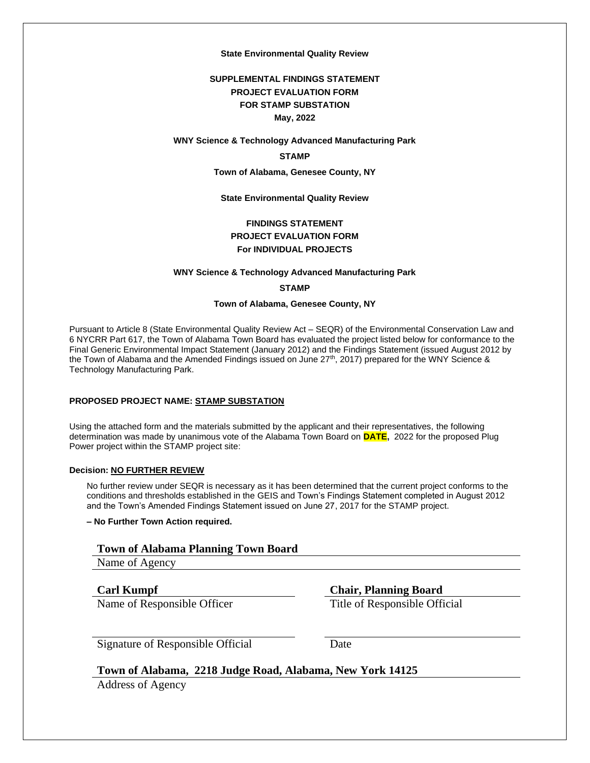#### **State Environmental Quality Review**

#### **SUPPLEMENTAL FINDINGS STATEMENT PROJECT EVALUATION FORM FOR STAMP SUBSTATION May, 2022**

#### **WNY Science & Technology Advanced Manufacturing Park**

#### **STAMP**

**Town of Alabama, Genesee County, NY**

**State Environmental Quality Review**

#### **FINDINGS STATEMENT PROJECT EVALUATION FORM For INDIVIDUAL PROJECTS**

#### **WNY Science & Technology Advanced Manufacturing Park**

**STAMP**

#### **Town of Alabama, Genesee County, NY**

Pursuant to Article 8 (State Environmental Quality Review Act – SEQR) of the Environmental Conservation Law and 6 NYCRR Part 617, the Town of Alabama Town Board has evaluated the project listed below for conformance to the Final Generic Environmental Impact Statement (January 2012) and the Findings Statement (issued August 2012 by the Town of Alabama and the Amended Findings issued on June 27th, 2017) prepared for the WNY Science & Technology Manufacturing Park.

#### **PROPOSED PROJECT NAME: STAMP SUBSTATION**

Using the attached form and the materials submitted by the applicant and their representatives, the following determination was made by unanimous vote of the Alabama Town Board on **DATE,** 2022 for the proposed Plug Power project within the STAMP project site:

#### **Decision: NO FURTHER REVIEW**

No further review under SEQR is necessary as it has been determined that the current project conforms to the conditions and thresholds established in the GEIS and Town's Findings Statement completed in August 2012 and the Town's Amended Findings Statement issued on June 27, 2017 for the STAMP project.

#### **– No Further Town Action required.**

#### **Town of Alabama Planning Town Board**

Name of Agency

Name of Responsible Officer Title of Responsible Official

**Carl Kumpf Chair, Planning Board**

Signature of Responsible Official Date

# **Town of Alabama, 2218 Judge Road, Alabama, New York 14125**

Address of Agency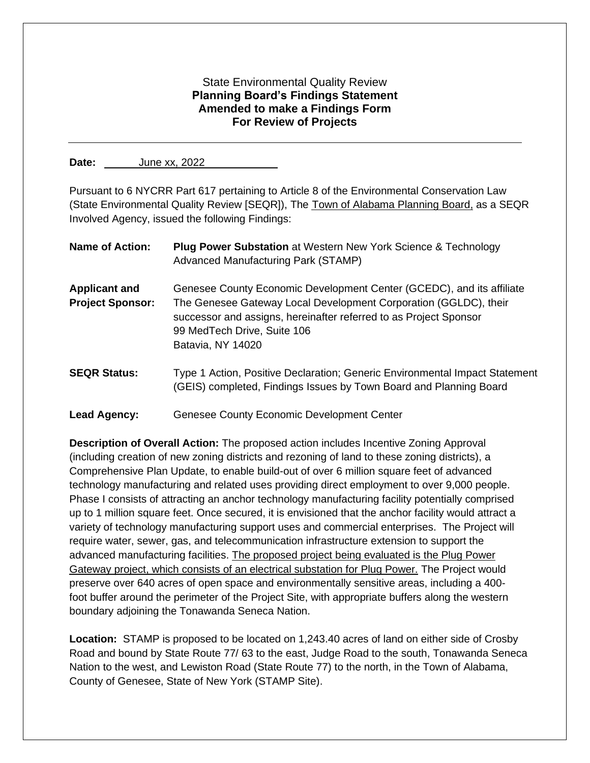# State Environmental Quality Review **Planning Board's Findings Statement Amended to make a Findings Form For Review of Projects**

**Date:** June xx, 2022

Pursuant to 6 NYCRR Part 617 pertaining to Article 8 of the Environmental Conservation Law (State Environmental Quality Review [SEQR]), The Town of Alabama Planning Board, as a SEQR Involved Agency, issued the following Findings:

| <b>Name of Action:</b>                          | <b>Plug Power Substation at Western New York Science &amp; Technology</b><br>Advanced Manufacturing Park (STAMP)                                                                                                                                                   |
|-------------------------------------------------|--------------------------------------------------------------------------------------------------------------------------------------------------------------------------------------------------------------------------------------------------------------------|
| <b>Applicant and</b><br><b>Project Sponsor:</b> | Genesee County Economic Development Center (GCEDC), and its affiliate<br>The Genesee Gateway Local Development Corporation (GGLDC), their<br>successor and assigns, hereinafter referred to as Project Sponsor<br>99 MedTech Drive, Suite 106<br>Batavia, NY 14020 |
| <b>SEQR Status:</b>                             | Type 1 Action, Positive Declaration; Generic Environmental Impact Statement<br>(GEIS) completed, Findings Issues by Town Board and Planning Board                                                                                                                  |
| <b>Lead Agency:</b>                             | Genesee County Economic Development Center                                                                                                                                                                                                                         |

**Description of Overall Action:** The proposed action includes Incentive Zoning Approval (including creation of new zoning districts and rezoning of land to these zoning districts), a Comprehensive Plan Update, to enable build-out of over 6 million square feet of advanced technology manufacturing and related uses providing direct employment to over 9,000 people. Phase I consists of attracting an anchor technology manufacturing facility potentially comprised up to 1 million square feet. Once secured, it is envisioned that the anchor facility would attract a variety of technology manufacturing support uses and commercial enterprises. The Project will require water, sewer, gas, and telecommunication infrastructure extension to support the advanced manufacturing facilities. The proposed project being evaluated is the Plug Power Gateway project, which consists of an electrical substation for Plug Power. The Project would preserve over 640 acres of open space and environmentally sensitive areas, including a 400 foot buffer around the perimeter of the Project Site, with appropriate buffers along the western boundary adjoining the Tonawanda Seneca Nation.

**Location:** STAMP is proposed to be located on 1,243.40 acres of land on either side of Crosby Road and bound by State Route 77/ 63 to the east, Judge Road to the south, Tonawanda Seneca Nation to the west, and Lewiston Road (State Route 77) to the north, in the Town of Alabama, County of Genesee, State of New York (STAMP Site).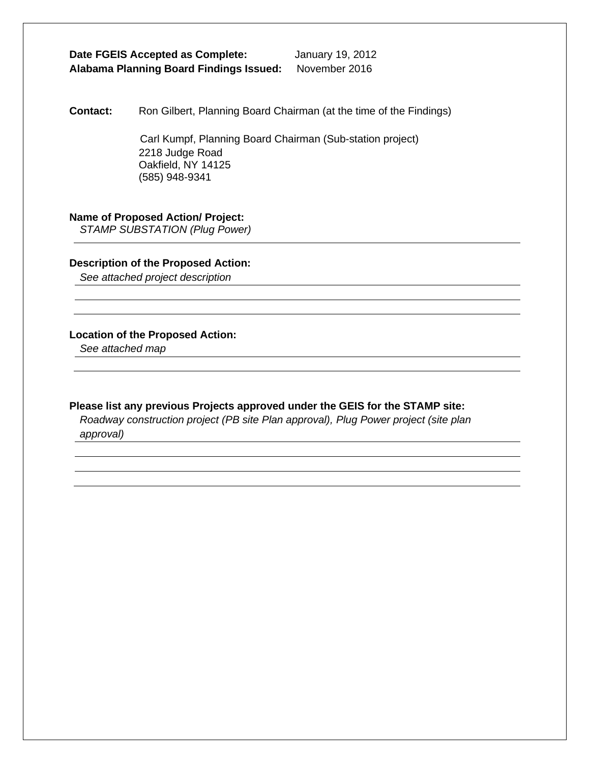# **Date FGEIS Accepted as Complete:** January 19, 2012 **Alabama Planning Board Findings Issued:** November 2016

**Contact:** Ron Gilbert, Planning Board Chairman (at the time of the Findings)

 Carl Kumpf, Planning Board Chairman (Sub-station project) 2218 Judge Road Oakfield, NY 14125 (585) 948-9341

#### **Name of Proposed Action/ Project:**

*STAMP SUBSTATION (Plug Power)* 

#### **Description of the Proposed Action:**

*See attached project description*

#### **Location of the Proposed Action:**

*See attached map*

#### **Please list any previous Projects approved under the GEIS for the STAMP site:**

*Roadway construction project (PB site Plan approval), Plug Power project (site plan approval)*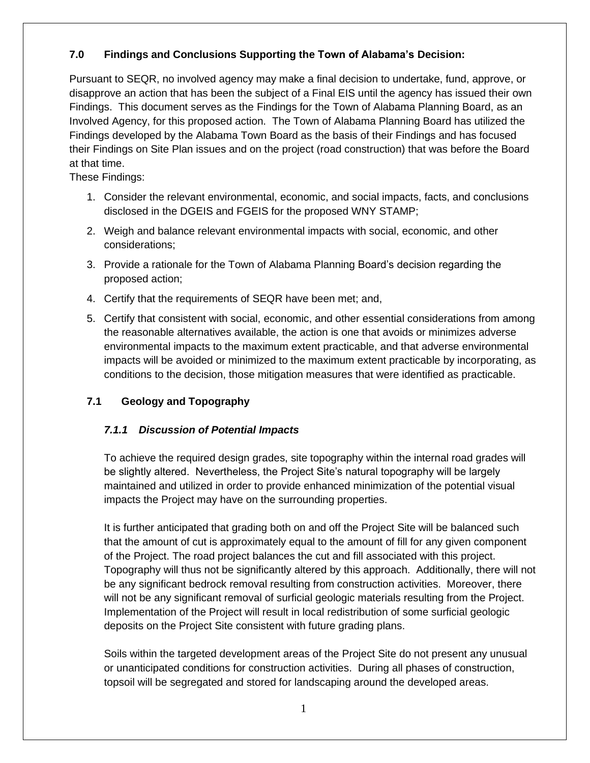# **7.0 Findings and Conclusions Supporting the Town of Alabama's Decision:**

Pursuant to SEQR, no involved agency may make a final decision to undertake, fund, approve, or disapprove an action that has been the subject of a Final EIS until the agency has issued their own Findings. This document serves as the Findings for the Town of Alabama Planning Board, as an Involved Agency, for this proposed action. The Town of Alabama Planning Board has utilized the Findings developed by the Alabama Town Board as the basis of their Findings and has focused their Findings on Site Plan issues and on the project (road construction) that was before the Board at that time.

These Findings:

- 1. Consider the relevant environmental, economic, and social impacts, facts, and conclusions disclosed in the DGEIS and FGEIS for the proposed WNY STAMP;
- 2. Weigh and balance relevant environmental impacts with social, economic, and other considerations;
- 3. Provide a rationale for the Town of Alabama Planning Board's decision regarding the proposed action;
- 4. Certify that the requirements of SEQR have been met; and,
- 5. Certify that consistent with social, economic, and other essential considerations from among the reasonable alternatives available, the action is one that avoids or minimizes adverse environmental impacts to the maximum extent practicable, and that adverse environmental impacts will be avoided or minimized to the maximum extent practicable by incorporating, as conditions to the decision, those mitigation measures that were identified as practicable.

# **7.1 Geology and Topography**

# *7.1.1 Discussion of Potential Impacts*

To achieve the required design grades, site topography within the internal road grades will be slightly altered. Nevertheless, the Project Site's natural topography will be largely maintained and utilized in order to provide enhanced minimization of the potential visual impacts the Project may have on the surrounding properties.

It is further anticipated that grading both on and off the Project Site will be balanced such that the amount of cut is approximately equal to the amount of fill for any given component of the Project. The road project balances the cut and fill associated with this project. Topography will thus not be significantly altered by this approach. Additionally, there will not be any significant bedrock removal resulting from construction activities. Moreover, there will not be any significant removal of surficial geologic materials resulting from the Project. Implementation of the Project will result in local redistribution of some surficial geologic deposits on the Project Site consistent with future grading plans.

Soils within the targeted development areas of the Project Site do not present any unusual or unanticipated conditions for construction activities. During all phases of construction, topsoil will be segregated and stored for landscaping around the developed areas.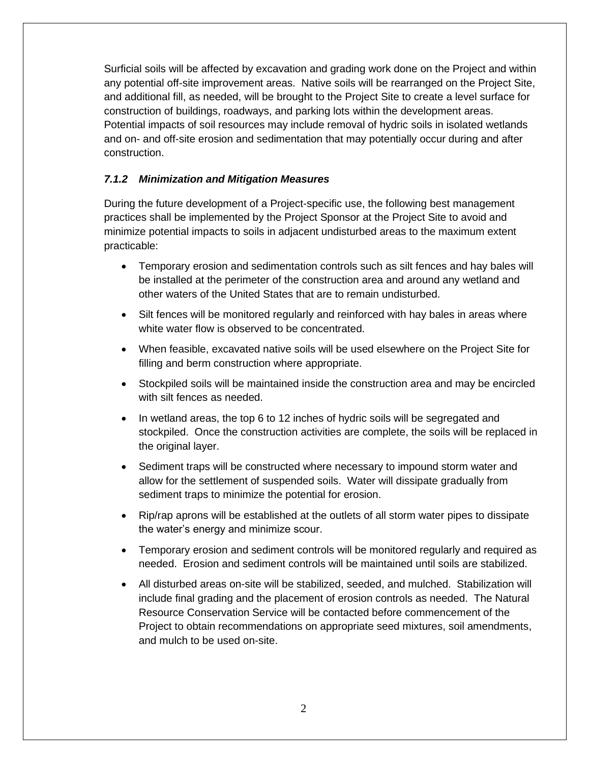Surficial soils will be affected by excavation and grading work done on the Project and within any potential off-site improvement areas. Native soils will be rearranged on the Project Site, and additional fill, as needed, will be brought to the Project Site to create a level surface for construction of buildings, roadways, and parking lots within the development areas. Potential impacts of soil resources may include removal of hydric soils in isolated wetlands and on- and off-site erosion and sedimentation that may potentially occur during and after construction.

# *7.1.2 Minimization and Mitigation Measures*

During the future development of a Project-specific use, the following best management practices shall be implemented by the Project Sponsor at the Project Site to avoid and minimize potential impacts to soils in adjacent undisturbed areas to the maximum extent practicable:

- Temporary erosion and sedimentation controls such as silt fences and hay bales will be installed at the perimeter of the construction area and around any wetland and other waters of the United States that are to remain undisturbed.
- Silt fences will be monitored regularly and reinforced with hay bales in areas where white water flow is observed to be concentrated.
- When feasible, excavated native soils will be used elsewhere on the Project Site for filling and berm construction where appropriate.
- Stockpiled soils will be maintained inside the construction area and may be encircled with silt fences as needed.
- In wetland areas, the top 6 to 12 inches of hydric soils will be segregated and stockpiled. Once the construction activities are complete, the soils will be replaced in the original layer.
- Sediment traps will be constructed where necessary to impound storm water and allow for the settlement of suspended soils. Water will dissipate gradually from sediment traps to minimize the potential for erosion.
- Rip/rap aprons will be established at the outlets of all storm water pipes to dissipate the water's energy and minimize scour.
- Temporary erosion and sediment controls will be monitored regularly and required as needed. Erosion and sediment controls will be maintained until soils are stabilized.
- All disturbed areas on-site will be stabilized, seeded, and mulched. Stabilization will include final grading and the placement of erosion controls as needed. The Natural Resource Conservation Service will be contacted before commencement of the Project to obtain recommendations on appropriate seed mixtures, soil amendments, and mulch to be used on-site.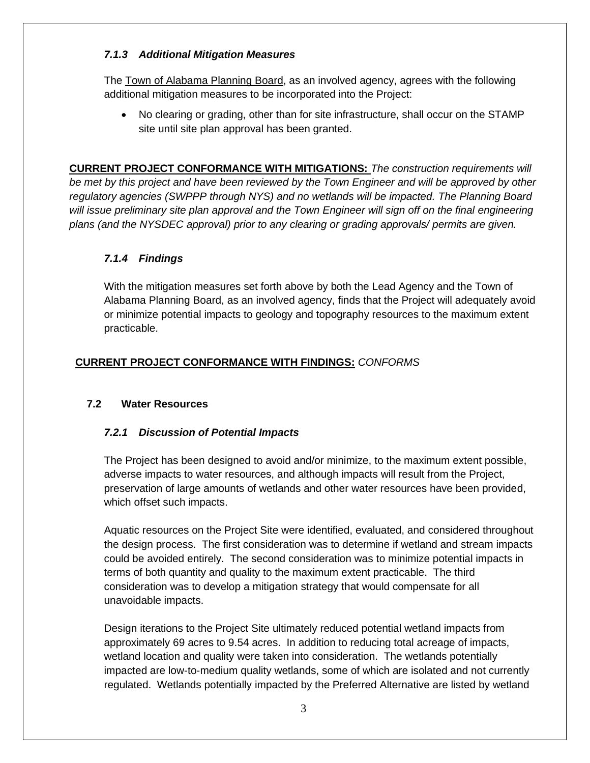# *7.1.3 Additional Mitigation Measures*

The Town of Alabama Planning Board, as an involved agency, agrees with the following additional mitigation measures to be incorporated into the Project:

• No clearing or grading, other than for site infrastructure, shall occur on the STAMP site until site plan approval has been granted.

**CURRENT PROJECT CONFORMANCE WITH MITIGATIONS:** *The construction requirements will be met by this project and have been reviewed by the Town Engineer and will be approved by other regulatory agencies (SWPPP through NYS) and no wetlands will be impacted. The Planning Board will issue preliminary site plan approval and the Town Engineer will sign off on the final engineering plans (and the NYSDEC approval) prior to any clearing or grading approvals/ permits are given.*

# *7.1.4 Findings*

With the mitigation measures set forth above by both the Lead Agency and the Town of Alabama Planning Board, as an involved agency, finds that the Project will adequately avoid or minimize potential impacts to geology and topography resources to the maximum extent practicable.

# **CURRENT PROJECT CONFORMANCE WITH FINDINGS:** *CONFORMS*

# **7.2 Water Resources**

# *7.2.1 Discussion of Potential Impacts*

The Project has been designed to avoid and/or minimize, to the maximum extent possible, adverse impacts to water resources, and although impacts will result from the Project, preservation of large amounts of wetlands and other water resources have been provided, which offset such impacts.

Aquatic resources on the Project Site were identified, evaluated, and considered throughout the design process. The first consideration was to determine if wetland and stream impacts could be avoided entirely. The second consideration was to minimize potential impacts in terms of both quantity and quality to the maximum extent practicable. The third consideration was to develop a mitigation strategy that would compensate for all unavoidable impacts.

Design iterations to the Project Site ultimately reduced potential wetland impacts from approximately 69 acres to 9.54 acres. In addition to reducing total acreage of impacts, wetland location and quality were taken into consideration. The wetlands potentially impacted are low-to-medium quality wetlands, some of which are isolated and not currently regulated. Wetlands potentially impacted by the Preferred Alternative are listed by wetland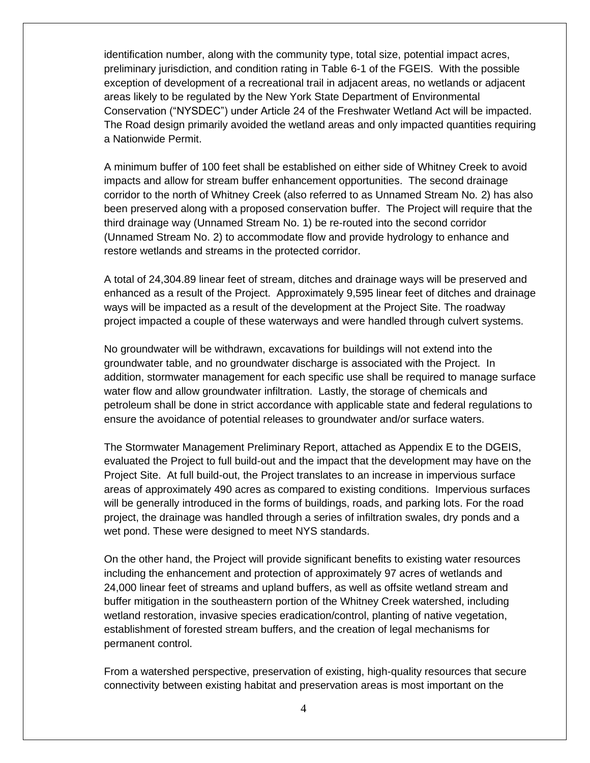identification number, along with the community type, total size, potential impact acres, preliminary jurisdiction, and condition rating in Table 6-1 of the FGEIS. With the possible exception of development of a recreational trail in adjacent areas, no wetlands or adjacent areas likely to be regulated by the New York State Department of Environmental Conservation ("NYSDEC") under Article 24 of the Freshwater Wetland Act will be impacted. The Road design primarily avoided the wetland areas and only impacted quantities requiring a Nationwide Permit.

A minimum buffer of 100 feet shall be established on either side of Whitney Creek to avoid impacts and allow for stream buffer enhancement opportunities. The second drainage corridor to the north of Whitney Creek (also referred to as Unnamed Stream No. 2) has also been preserved along with a proposed conservation buffer. The Project will require that the third drainage way (Unnamed Stream No. 1) be re-routed into the second corridor (Unnamed Stream No. 2) to accommodate flow and provide hydrology to enhance and restore wetlands and streams in the protected corridor.

A total of 24,304.89 linear feet of stream, ditches and drainage ways will be preserved and enhanced as a result of the Project. Approximately 9,595 linear feet of ditches and drainage ways will be impacted as a result of the development at the Project Site. The roadway project impacted a couple of these waterways and were handled through culvert systems.

No groundwater will be withdrawn, excavations for buildings will not extend into the groundwater table, and no groundwater discharge is associated with the Project. In addition, stormwater management for each specific use shall be required to manage surface water flow and allow groundwater infiltration. Lastly, the storage of chemicals and petroleum shall be done in strict accordance with applicable state and federal regulations to ensure the avoidance of potential releases to groundwater and/or surface waters.

The Stormwater Management Preliminary Report, attached as Appendix E to the DGEIS, evaluated the Project to full build-out and the impact that the development may have on the Project Site. At full build-out, the Project translates to an increase in impervious surface areas of approximately 490 acres as compared to existing conditions. Impervious surfaces will be generally introduced in the forms of buildings, roads, and parking lots. For the road project, the drainage was handled through a series of infiltration swales, dry ponds and a wet pond. These were designed to meet NYS standards.

On the other hand, the Project will provide significant benefits to existing water resources including the enhancement and protection of approximately 97 acres of wetlands and 24,000 linear feet of streams and upland buffers, as well as offsite wetland stream and buffer mitigation in the southeastern portion of the Whitney Creek watershed, including wetland restoration, invasive species eradication/control, planting of native vegetation, establishment of forested stream buffers, and the creation of legal mechanisms for permanent control.

From a watershed perspective, preservation of existing, high-quality resources that secure connectivity between existing habitat and preservation areas is most important on the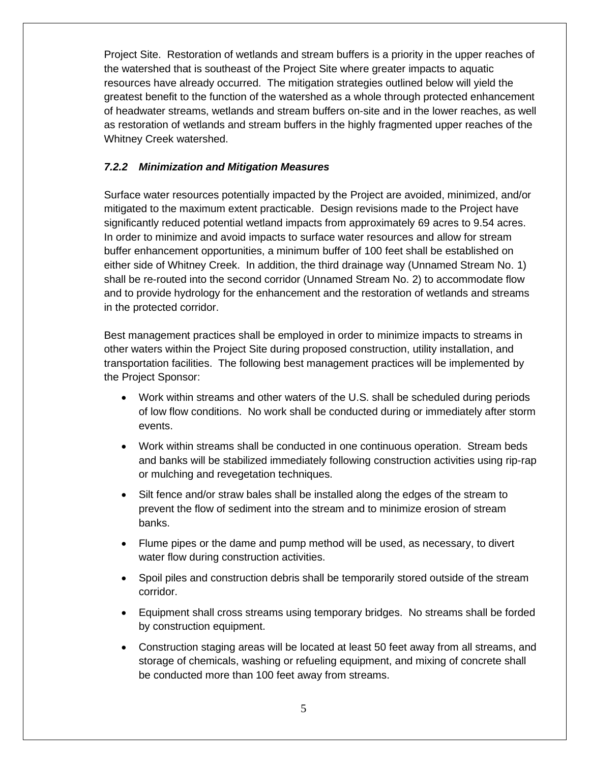Project Site. Restoration of wetlands and stream buffers is a priority in the upper reaches of the watershed that is southeast of the Project Site where greater impacts to aquatic resources have already occurred. The mitigation strategies outlined below will yield the greatest benefit to the function of the watershed as a whole through protected enhancement of headwater streams, wetlands and stream buffers on-site and in the lower reaches, as well as restoration of wetlands and stream buffers in the highly fragmented upper reaches of the Whitney Creek watershed.

# *7.2.2 Minimization and Mitigation Measures*

Surface water resources potentially impacted by the Project are avoided, minimized, and/or mitigated to the maximum extent practicable. Design revisions made to the Project have significantly reduced potential wetland impacts from approximately 69 acres to 9.54 acres. In order to minimize and avoid impacts to surface water resources and allow for stream buffer enhancement opportunities, a minimum buffer of 100 feet shall be established on either side of Whitney Creek. In addition, the third drainage way (Unnamed Stream No. 1) shall be re-routed into the second corridor (Unnamed Stream No. 2) to accommodate flow and to provide hydrology for the enhancement and the restoration of wetlands and streams in the protected corridor.

Best management practices shall be employed in order to minimize impacts to streams in other waters within the Project Site during proposed construction, utility installation, and transportation facilities. The following best management practices will be implemented by the Project Sponsor:

- Work within streams and other waters of the U.S. shall be scheduled during periods of low flow conditions. No work shall be conducted during or immediately after storm events.
- Work within streams shall be conducted in one continuous operation. Stream beds and banks will be stabilized immediately following construction activities using rip-rap or mulching and revegetation techniques.
- Silt fence and/or straw bales shall be installed along the edges of the stream to prevent the flow of sediment into the stream and to minimize erosion of stream banks.
- Flume pipes or the dame and pump method will be used, as necessary, to divert water flow during construction activities.
- Spoil piles and construction debris shall be temporarily stored outside of the stream corridor.
- Equipment shall cross streams using temporary bridges. No streams shall be forded by construction equipment.
- Construction staging areas will be located at least 50 feet away from all streams, and storage of chemicals, washing or refueling equipment, and mixing of concrete shall be conducted more than 100 feet away from streams.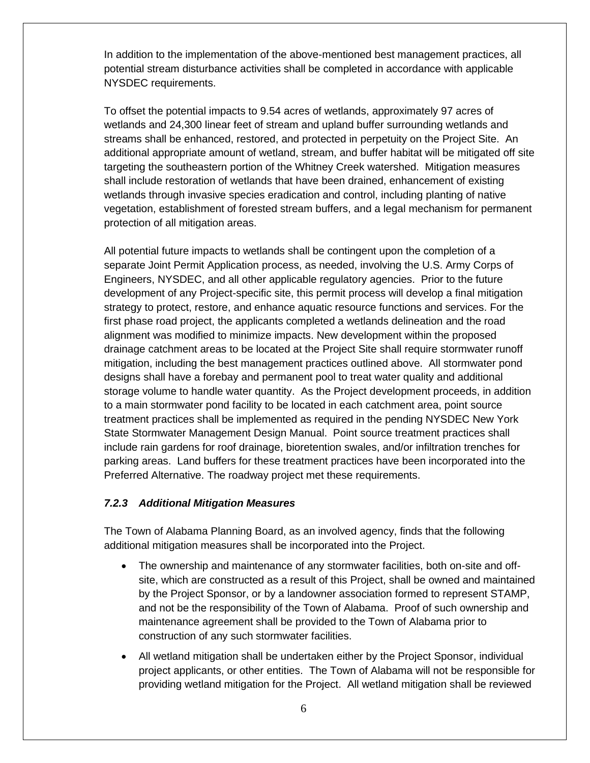In addition to the implementation of the above-mentioned best management practices, all potential stream disturbance activities shall be completed in accordance with applicable NYSDEC requirements.

To offset the potential impacts to 9.54 acres of wetlands, approximately 97 acres of wetlands and 24,300 linear feet of stream and upland buffer surrounding wetlands and streams shall be enhanced, restored, and protected in perpetuity on the Project Site. An additional appropriate amount of wetland, stream, and buffer habitat will be mitigated off site targeting the southeastern portion of the Whitney Creek watershed. Mitigation measures shall include restoration of wetlands that have been drained, enhancement of existing wetlands through invasive species eradication and control, including planting of native vegetation, establishment of forested stream buffers, and a legal mechanism for permanent protection of all mitigation areas.

All potential future impacts to wetlands shall be contingent upon the completion of a separate Joint Permit Application process, as needed, involving the U.S. Army Corps of Engineers, NYSDEC, and all other applicable regulatory agencies. Prior to the future development of any Project-specific site, this permit process will develop a final mitigation strategy to protect, restore, and enhance aquatic resource functions and services. For the first phase road project, the applicants completed a wetlands delineation and the road alignment was modified to minimize impacts. New development within the proposed drainage catchment areas to be located at the Project Site shall require stormwater runoff mitigation, including the best management practices outlined above. All stormwater pond designs shall have a forebay and permanent pool to treat water quality and additional storage volume to handle water quantity. As the Project development proceeds, in addition to a main stormwater pond facility to be located in each catchment area, point source treatment practices shall be implemented as required in the pending NYSDEC New York State Stormwater Management Design Manual. Point source treatment practices shall include rain gardens for roof drainage, bioretention swales, and/or infiltration trenches for parking areas. Land buffers for these treatment practices have been incorporated into the Preferred Alternative. The roadway project met these requirements.

#### *7.2.3 Additional Mitigation Measures*

The Town of Alabama Planning Board, as an involved agency, finds that the following additional mitigation measures shall be incorporated into the Project.

- The ownership and maintenance of any stormwater facilities, both on-site and offsite, which are constructed as a result of this Project, shall be owned and maintained by the Project Sponsor, or by a landowner association formed to represent STAMP, and not be the responsibility of the Town of Alabama. Proof of such ownership and maintenance agreement shall be provided to the Town of Alabama prior to construction of any such stormwater facilities.
- All wetland mitigation shall be undertaken either by the Project Sponsor, individual project applicants, or other entities. The Town of Alabama will not be responsible for providing wetland mitigation for the Project. All wetland mitigation shall be reviewed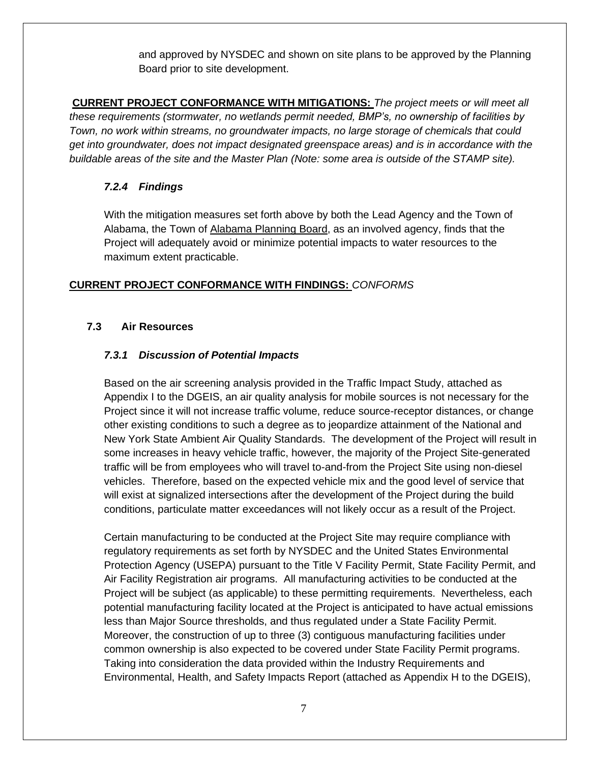and approved by NYSDEC and shown on site plans to be approved by the Planning Board prior to site development.

**CURRENT PROJECT CONFORMANCE WITH MITIGATIONS:** *The project meets or will meet all these requirements (stormwater, no wetlands permit needed, BMP's, no ownership of facilities by Town, no work within streams, no groundwater impacts, no large storage of chemicals that could get into groundwater, does not impact designated greenspace areas) and is in accordance with the buildable areas of the site and the Master Plan (Note: some area is outside of the STAMP site).*

#### *7.2.4 Findings*

With the mitigation measures set forth above by both the Lead Agency and the Town of Alabama, the Town of Alabama Planning Board, as an involved agency, finds that the Project will adequately avoid or minimize potential impacts to water resources to the maximum extent practicable.

# **CURRENT PROJECT CONFORMANCE WITH FINDINGS:** *CONFORMS*

# **7.3 Air Resources**

# *7.3.1 Discussion of Potential Impacts*

Based on the air screening analysis provided in the Traffic Impact Study, attached as Appendix I to the DGEIS, an air quality analysis for mobile sources is not necessary for the Project since it will not increase traffic volume, reduce source-receptor distances, or change other existing conditions to such a degree as to jeopardize attainment of the National and New York State Ambient Air Quality Standards. The development of the Project will result in some increases in heavy vehicle traffic, however, the majority of the Project Site-generated traffic will be from employees who will travel to-and-from the Project Site using non-diesel vehicles. Therefore, based on the expected vehicle mix and the good level of service that will exist at signalized intersections after the development of the Project during the build conditions, particulate matter exceedances will not likely occur as a result of the Project.

Certain manufacturing to be conducted at the Project Site may require compliance with regulatory requirements as set forth by NYSDEC and the United States Environmental Protection Agency (USEPA) pursuant to the Title V Facility Permit, State Facility Permit, and Air Facility Registration air programs. All manufacturing activities to be conducted at the Project will be subject (as applicable) to these permitting requirements. Nevertheless, each potential manufacturing facility located at the Project is anticipated to have actual emissions less than Major Source thresholds, and thus regulated under a State Facility Permit. Moreover, the construction of up to three (3) contiguous manufacturing facilities under common ownership is also expected to be covered under State Facility Permit programs. Taking into consideration the data provided within the Industry Requirements and Environmental, Health, and Safety Impacts Report (attached as Appendix H to the DGEIS),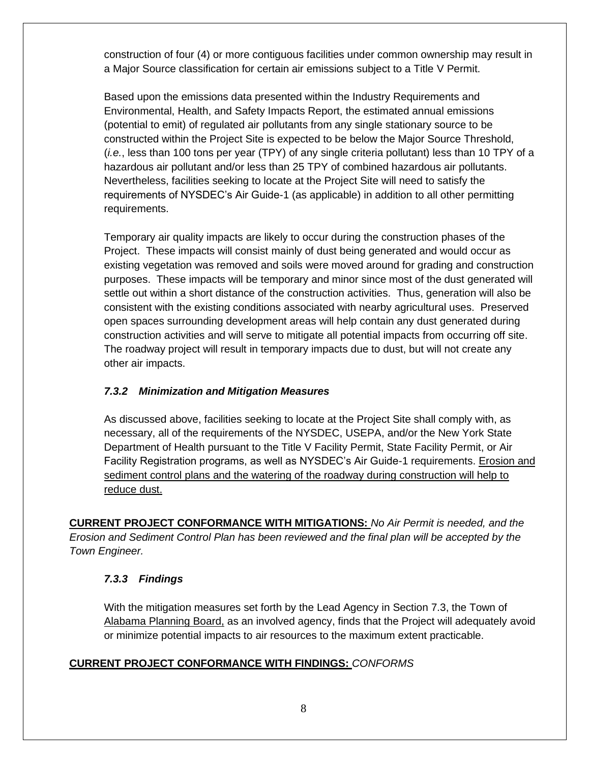construction of four (4) or more contiguous facilities under common ownership may result in a Major Source classification for certain air emissions subject to a Title V Permit.

Based upon the emissions data presented within the Industry Requirements and Environmental, Health, and Safety Impacts Report, the estimated annual emissions (potential to emit) of regulated air pollutants from any single stationary source to be constructed within the Project Site is expected to be below the Major Source Threshold, (*i.e.*, less than 100 tons per year (TPY) of any single criteria pollutant) less than 10 TPY of a hazardous air pollutant and/or less than 25 TPY of combined hazardous air pollutants. Nevertheless, facilities seeking to locate at the Project Site will need to satisfy the requirements of NYSDEC's Air Guide-1 (as applicable) in addition to all other permitting requirements.

Temporary air quality impacts are likely to occur during the construction phases of the Project. These impacts will consist mainly of dust being generated and would occur as existing vegetation was removed and soils were moved around for grading and construction purposes. These impacts will be temporary and minor since most of the dust generated will settle out within a short distance of the construction activities. Thus, generation will also be consistent with the existing conditions associated with nearby agricultural uses. Preserved open spaces surrounding development areas will help contain any dust generated during construction activities and will serve to mitigate all potential impacts from occurring off site. The roadway project will result in temporary impacts due to dust, but will not create any other air impacts.

# *7.3.2 Minimization and Mitigation Measures*

As discussed above, facilities seeking to locate at the Project Site shall comply with, as necessary, all of the requirements of the NYSDEC, USEPA, and/or the New York State Department of Health pursuant to the Title V Facility Permit, State Facility Permit, or Air Facility Registration programs, as well as NYSDEC's Air Guide-1 requirements. Erosion and sediment control plans and the watering of the roadway during construction will help to reduce dust.

**CURRENT PROJECT CONFORMANCE WITH MITIGATIONS:** *No Air Permit is needed, and the Erosion and Sediment Control Plan has been reviewed and the final plan will be accepted by the Town Engineer.*

# *7.3.3 Findings*

With the mitigation measures set forth by the Lead Agency in Section 7.3, the Town of Alabama Planning Board, as an involved agency, finds that the Project will adequately avoid or minimize potential impacts to air resources to the maximum extent practicable.

# **CURRENT PROJECT CONFORMANCE WITH FINDINGS:** *CONFORMS*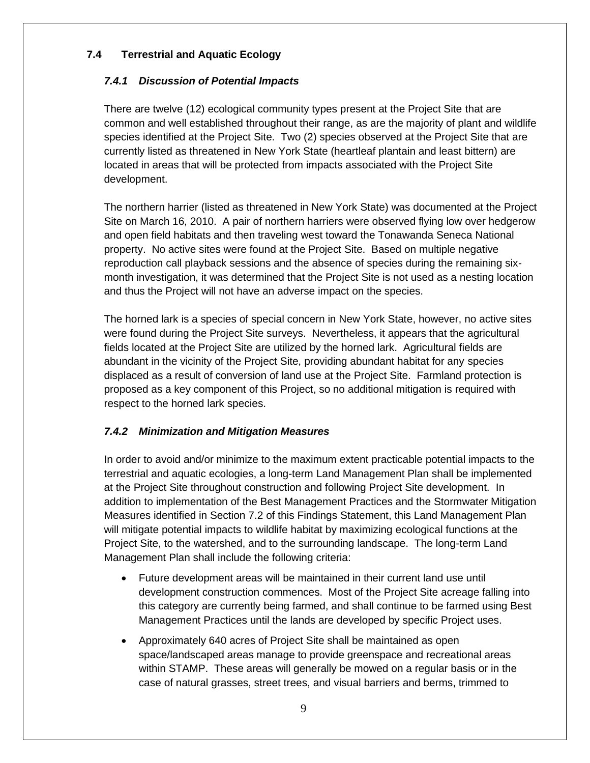# **7.4 Terrestrial and Aquatic Ecology**

# *7.4.1 Discussion of Potential Impacts*

There are twelve (12) ecological community types present at the Project Site that are common and well established throughout their range, as are the majority of plant and wildlife species identified at the Project Site. Two (2) species observed at the Project Site that are currently listed as threatened in New York State (heartleaf plantain and least bittern) are located in areas that will be protected from impacts associated with the Project Site development.

The northern harrier (listed as threatened in New York State) was documented at the Project Site on March 16, 2010. A pair of northern harriers were observed flying low over hedgerow and open field habitats and then traveling west toward the Tonawanda Seneca National property. No active sites were found at the Project Site. Based on multiple negative reproduction call playback sessions and the absence of species during the remaining sixmonth investigation, it was determined that the Project Site is not used as a nesting location and thus the Project will not have an adverse impact on the species.

The horned lark is a species of special concern in New York State, however, no active sites were found during the Project Site surveys. Nevertheless, it appears that the agricultural fields located at the Project Site are utilized by the horned lark. Agricultural fields are abundant in the vicinity of the Project Site, providing abundant habitat for any species displaced as a result of conversion of land use at the Project Site. Farmland protection is proposed as a key component of this Project, so no additional mitigation is required with respect to the horned lark species.

# *7.4.2 Minimization and Mitigation Measures*

In order to avoid and/or minimize to the maximum extent practicable potential impacts to the terrestrial and aquatic ecologies, a long-term Land Management Plan shall be implemented at the Project Site throughout construction and following Project Site development. In addition to implementation of the Best Management Practices and the Stormwater Mitigation Measures identified in Section 7.2 of this Findings Statement, this Land Management Plan will mitigate potential impacts to wildlife habitat by maximizing ecological functions at the Project Site, to the watershed, and to the surrounding landscape. The long-term Land Management Plan shall include the following criteria:

- Future development areas will be maintained in their current land use until development construction commences. Most of the Project Site acreage falling into this category are currently being farmed, and shall continue to be farmed using Best Management Practices until the lands are developed by specific Project uses.
- Approximately 640 acres of Project Site shall be maintained as open space/landscaped areas manage to provide greenspace and recreational areas within STAMP. These areas will generally be mowed on a regular basis or in the case of natural grasses, street trees, and visual barriers and berms, trimmed to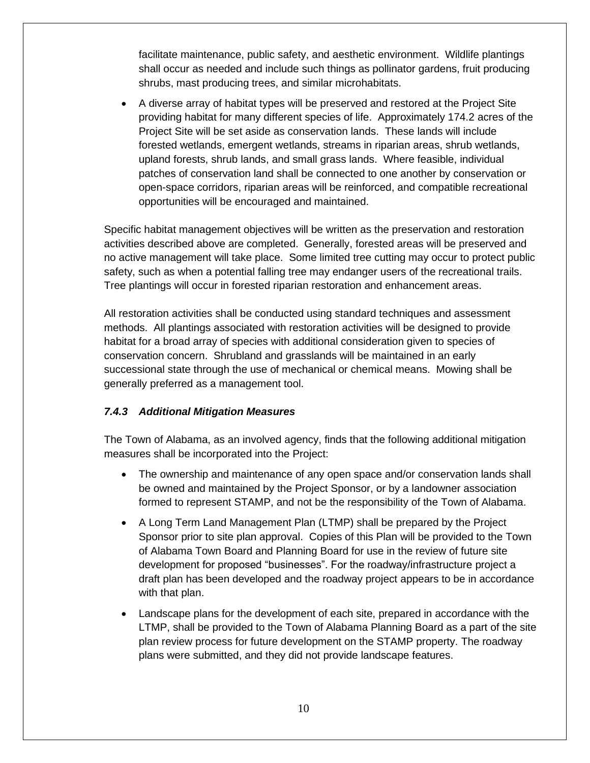facilitate maintenance, public safety, and aesthetic environment. Wildlife plantings shall occur as needed and include such things as pollinator gardens, fruit producing shrubs, mast producing trees, and similar microhabitats.

• A diverse array of habitat types will be preserved and restored at the Project Site providing habitat for many different species of life. Approximately 174.2 acres of the Project Site will be set aside as conservation lands. These lands will include forested wetlands, emergent wetlands, streams in riparian areas, shrub wetlands, upland forests, shrub lands, and small grass lands. Where feasible, individual patches of conservation land shall be connected to one another by conservation or open-space corridors, riparian areas will be reinforced, and compatible recreational opportunities will be encouraged and maintained.

Specific habitat management objectives will be written as the preservation and restoration activities described above are completed. Generally, forested areas will be preserved and no active management will take place. Some limited tree cutting may occur to protect public safety, such as when a potential falling tree may endanger users of the recreational trails. Tree plantings will occur in forested riparian restoration and enhancement areas.

All restoration activities shall be conducted using standard techniques and assessment methods. All plantings associated with restoration activities will be designed to provide habitat for a broad array of species with additional consideration given to species of conservation concern. Shrubland and grasslands will be maintained in an early successional state through the use of mechanical or chemical means. Mowing shall be generally preferred as a management tool.

# *7.4.3 Additional Mitigation Measures*

The Town of Alabama, as an involved agency, finds that the following additional mitigation measures shall be incorporated into the Project:

- The ownership and maintenance of any open space and/or conservation lands shall be owned and maintained by the Project Sponsor, or by a landowner association formed to represent STAMP, and not be the responsibility of the Town of Alabama.
- A Long Term Land Management Plan (LTMP) shall be prepared by the Project Sponsor prior to site plan approval. Copies of this Plan will be provided to the Town of Alabama Town Board and Planning Board for use in the review of future site development for proposed "businesses". For the roadway/infrastructure project a draft plan has been developed and the roadway project appears to be in accordance with that plan.
- Landscape plans for the development of each site, prepared in accordance with the LTMP, shall be provided to the Town of Alabama Planning Board as a part of the site plan review process for future development on the STAMP property. The roadway plans were submitted, and they did not provide landscape features.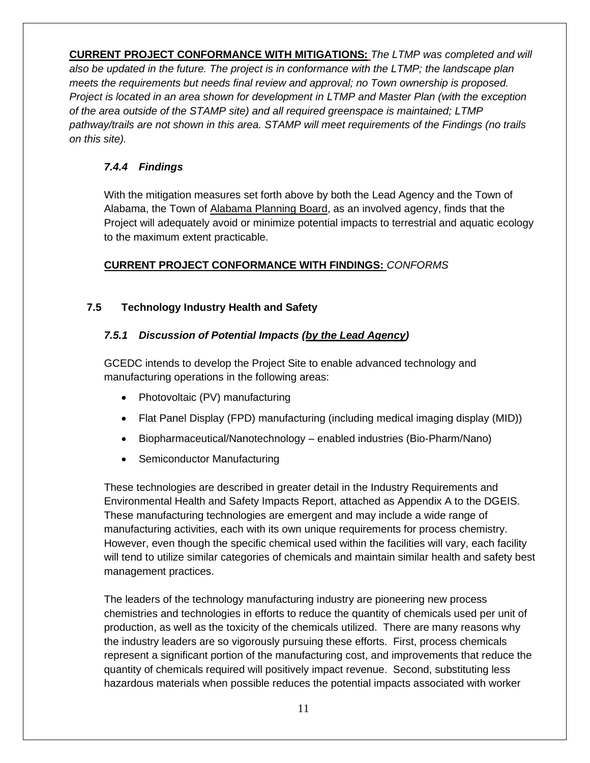**CURRENT PROJECT CONFORMANCE WITH MITIGATIONS:** *The LTMP was completed and will also be updated in the future. The project is in conformance with the LTMP; the landscape plan meets the requirements but needs final review and approval; no Town ownership is proposed. Project is located in an area shown for development in LTMP and Master Plan (with the exception of the area outside of the STAMP site) and all required greenspace is maintained; LTMP pathway/trails are not shown in this area. STAMP will meet requirements of the Findings (no trails on this site).*

# *7.4.4 Findings*

With the mitigation measures set forth above by both the Lead Agency and the Town of Alabama, the Town of Alabama Planning Board, as an involved agency, finds that the Project will adequately avoid or minimize potential impacts to terrestrial and aquatic ecology to the maximum extent practicable.

# **CURRENT PROJECT CONFORMANCE WITH FINDINGS:** *CONFORMS*

# **7.5 Technology Industry Health and Safety**

# *7.5.1 Discussion of Potential Impacts (by the Lead Agency)*

GCEDC intends to develop the Project Site to enable advanced technology and manufacturing operations in the following areas:

- Photovoltaic (PV) manufacturing
- Flat Panel Display (FPD) manufacturing (including medical imaging display (MID))
- Biopharmaceutical/Nanotechnology enabled industries (Bio-Pharm/Nano)
- Semiconductor Manufacturing

These technologies are described in greater detail in the Industry Requirements and Environmental Health and Safety Impacts Report, attached as Appendix A to the DGEIS. These manufacturing technologies are emergent and may include a wide range of manufacturing activities, each with its own unique requirements for process chemistry. However, even though the specific chemical used within the facilities will vary, each facility will tend to utilize similar categories of chemicals and maintain similar health and safety best management practices.

The leaders of the technology manufacturing industry are pioneering new process chemistries and technologies in efforts to reduce the quantity of chemicals used per unit of production, as well as the toxicity of the chemicals utilized. There are many reasons why the industry leaders are so vigorously pursuing these efforts. First, process chemicals represent a significant portion of the manufacturing cost, and improvements that reduce the quantity of chemicals required will positively impact revenue. Second, substituting less hazardous materials when possible reduces the potential impacts associated with worker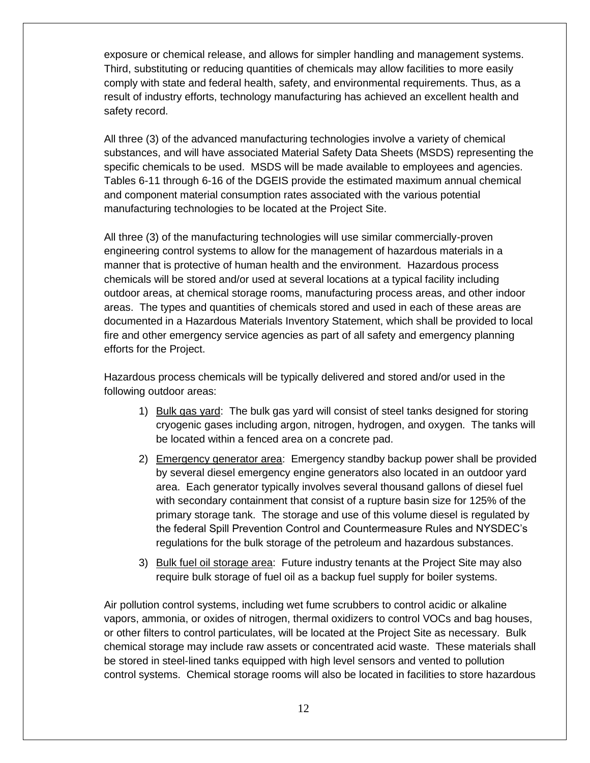exposure or chemical release, and allows for simpler handling and management systems. Third, substituting or reducing quantities of chemicals may allow facilities to more easily comply with state and federal health, safety, and environmental requirements. Thus, as a result of industry efforts, technology manufacturing has achieved an excellent health and safety record.

All three (3) of the advanced manufacturing technologies involve a variety of chemical substances, and will have associated Material Safety Data Sheets (MSDS) representing the specific chemicals to be used. MSDS will be made available to employees and agencies. Tables 6-11 through 6-16 of the DGEIS provide the estimated maximum annual chemical and component material consumption rates associated with the various potential manufacturing technologies to be located at the Project Site.

All three (3) of the manufacturing technologies will use similar commercially-proven engineering control systems to allow for the management of hazardous materials in a manner that is protective of human health and the environment. Hazardous process chemicals will be stored and/or used at several locations at a typical facility including outdoor areas, at chemical storage rooms, manufacturing process areas, and other indoor areas. The types and quantities of chemicals stored and used in each of these areas are documented in a Hazardous Materials Inventory Statement, which shall be provided to local fire and other emergency service agencies as part of all safety and emergency planning efforts for the Project.

Hazardous process chemicals will be typically delivered and stored and/or used in the following outdoor areas:

- 1) Bulk gas yard: The bulk gas yard will consist of steel tanks designed for storing cryogenic gases including argon, nitrogen, hydrogen, and oxygen. The tanks will be located within a fenced area on a concrete pad.
- 2) Emergency generator area: Emergency standby backup power shall be provided by several diesel emergency engine generators also located in an outdoor yard area. Each generator typically involves several thousand gallons of diesel fuel with secondary containment that consist of a rupture basin size for 125% of the primary storage tank. The storage and use of this volume diesel is regulated by the federal Spill Prevention Control and Countermeasure Rules and NYSDEC's regulations for the bulk storage of the petroleum and hazardous substances.
- 3) Bulk fuel oil storage area: Future industry tenants at the Project Site may also require bulk storage of fuel oil as a backup fuel supply for boiler systems.

Air pollution control systems, including wet fume scrubbers to control acidic or alkaline vapors, ammonia, or oxides of nitrogen, thermal oxidizers to control VOCs and bag houses, or other filters to control particulates, will be located at the Project Site as necessary. Bulk chemical storage may include raw assets or concentrated acid waste. These materials shall be stored in steel-lined tanks equipped with high level sensors and vented to pollution control systems. Chemical storage rooms will also be located in facilities to store hazardous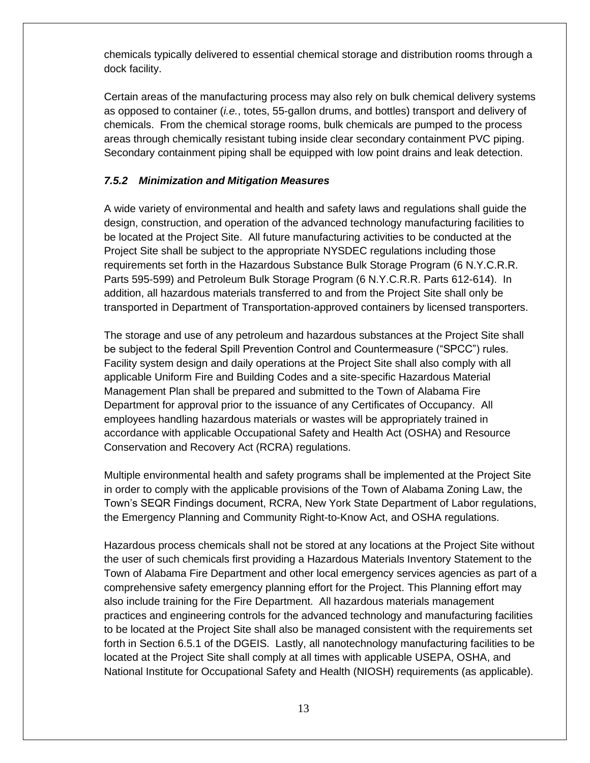chemicals typically delivered to essential chemical storage and distribution rooms through a dock facility.

Certain areas of the manufacturing process may also rely on bulk chemical delivery systems as opposed to container (*i.e.*, totes, 55-gallon drums, and bottles) transport and delivery of chemicals. From the chemical storage rooms, bulk chemicals are pumped to the process areas through chemically resistant tubing inside clear secondary containment PVC piping. Secondary containment piping shall be equipped with low point drains and leak detection.

# *7.5.2 Minimization and Mitigation Measures*

A wide variety of environmental and health and safety laws and regulations shall guide the design, construction, and operation of the advanced technology manufacturing facilities to be located at the Project Site. All future manufacturing activities to be conducted at the Project Site shall be subject to the appropriate NYSDEC regulations including those requirements set forth in the Hazardous Substance Bulk Storage Program (6 N.Y.C.R.R. Parts 595-599) and Petroleum Bulk Storage Program (6 N.Y.C.R.R. Parts 612-614). In addition, all hazardous materials transferred to and from the Project Site shall only be transported in Department of Transportation-approved containers by licensed transporters.

The storage and use of any petroleum and hazardous substances at the Project Site shall be subject to the federal Spill Prevention Control and Countermeasure ("SPCC") rules. Facility system design and daily operations at the Project Site shall also comply with all applicable Uniform Fire and Building Codes and a site-specific Hazardous Material Management Plan shall be prepared and submitted to the Town of Alabama Fire Department for approval prior to the issuance of any Certificates of Occupancy. All employees handling hazardous materials or wastes will be appropriately trained in accordance with applicable Occupational Safety and Health Act (OSHA) and Resource Conservation and Recovery Act (RCRA) regulations.

Multiple environmental health and safety programs shall be implemented at the Project Site in order to comply with the applicable provisions of the Town of Alabama Zoning Law, the Town's SEQR Findings document, RCRA, New York State Department of Labor regulations, the Emergency Planning and Community Right-to-Know Act, and OSHA regulations.

Hazardous process chemicals shall not be stored at any locations at the Project Site without the user of such chemicals first providing a Hazardous Materials Inventory Statement to the Town of Alabama Fire Department and other local emergency services agencies as part of a comprehensive safety emergency planning effort for the Project. This Planning effort may also include training for the Fire Department. All hazardous materials management practices and engineering controls for the advanced technology and manufacturing facilities to be located at the Project Site shall also be managed consistent with the requirements set forth in Section 6.5.1 of the DGEIS. Lastly, all nanotechnology manufacturing facilities to be located at the Project Site shall comply at all times with applicable USEPA, OSHA, and National Institute for Occupational Safety and Health (NIOSH) requirements (as applicable).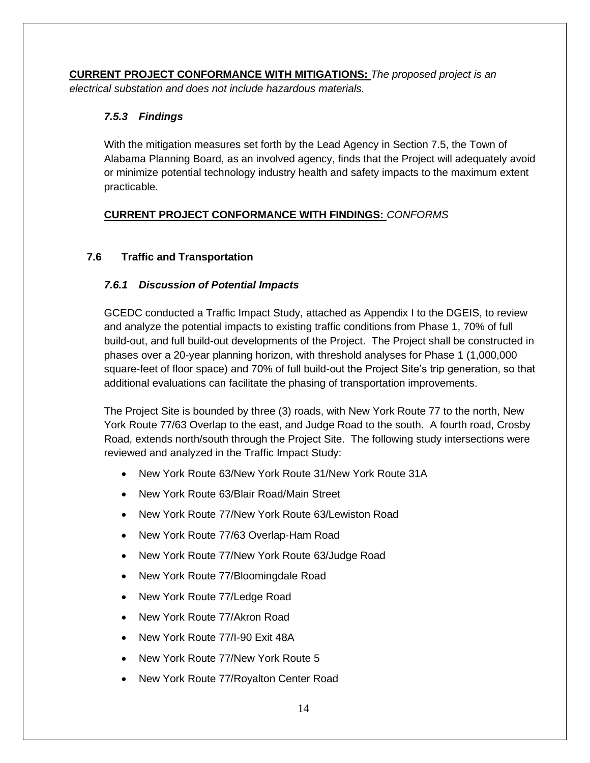**CURRENT PROJECT CONFORMANCE WITH MITIGATIONS:** *The proposed project is an electrical substation and does not include hazardous materials.*

# *7.5.3 Findings*

With the mitigation measures set forth by the Lead Agency in Section 7.5, the Town of Alabama Planning Board, as an involved agency, finds that the Project will adequately avoid or minimize potential technology industry health and safety impacts to the maximum extent practicable.

# **CURRENT PROJECT CONFORMANCE WITH FINDINGS:** *CONFORMS*

# **7.6 Traffic and Transportation**

# *7.6.1 Discussion of Potential Impacts*

GCEDC conducted a Traffic Impact Study, attached as Appendix I to the DGEIS, to review and analyze the potential impacts to existing traffic conditions from Phase 1, 70% of full build-out, and full build-out developments of the Project. The Project shall be constructed in phases over a 20-year planning horizon, with threshold analyses for Phase 1 (1,000,000 square-feet of floor space) and 70% of full build-out the Project Site's trip generation, so that additional evaluations can facilitate the phasing of transportation improvements.

The Project Site is bounded by three (3) roads, with New York Route 77 to the north, New York Route 77/63 Overlap to the east, and Judge Road to the south. A fourth road, Crosby Road, extends north/south through the Project Site. The following study intersections were reviewed and analyzed in the Traffic Impact Study:

- New York Route 63/New York Route 31/New York Route 31A
- New York Route 63/Blair Road/Main Street
- New York Route 77/New York Route 63/Lewiston Road
- New York Route 77/63 Overlap-Ham Road
- New York Route 77/New York Route 63/Judge Road
- New York Route 77/Bloomingdale Road
- New York Route 77/Ledge Road
- New York Route 77/Akron Road
- New York Route 77/I-90 Exit 48A
- New York Route 77/New York Route 5
- New York Route 77/Royalton Center Road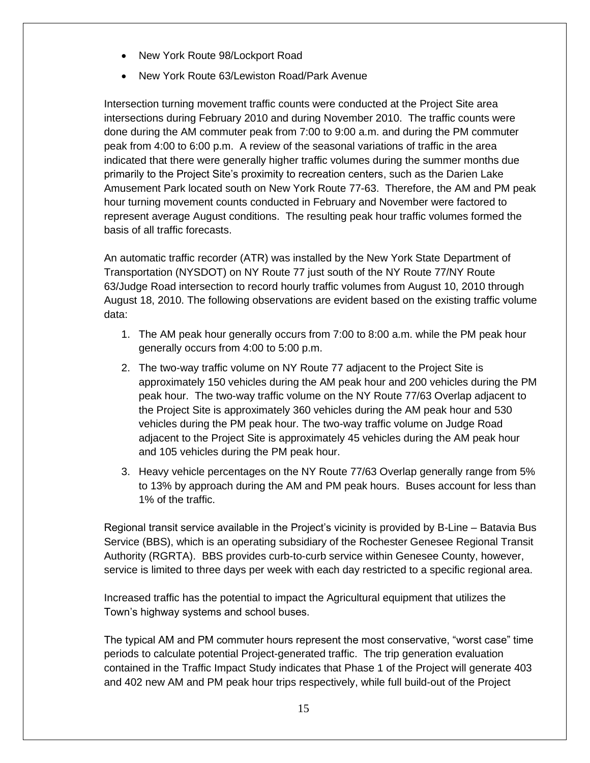- New York Route 98/Lockport Road
- New York Route 63/Lewiston Road/Park Avenue

Intersection turning movement traffic counts were conducted at the Project Site area intersections during February 2010 and during November 2010. The traffic counts were done during the AM commuter peak from 7:00 to 9:00 a.m. and during the PM commuter peak from 4:00 to 6:00 p.m. A review of the seasonal variations of traffic in the area indicated that there were generally higher traffic volumes during the summer months due primarily to the Project Site's proximity to recreation centers, such as the Darien Lake Amusement Park located south on New York Route 77-63. Therefore, the AM and PM peak hour turning movement counts conducted in February and November were factored to represent average August conditions. The resulting peak hour traffic volumes formed the basis of all traffic forecasts.

An automatic traffic recorder (ATR) was installed by the New York State Department of Transportation (NYSDOT) on NY Route 77 just south of the NY Route 77/NY Route 63/Judge Road intersection to record hourly traffic volumes from August 10, 2010 through August 18, 2010. The following observations are evident based on the existing traffic volume data:

- 1. The AM peak hour generally occurs from 7:00 to 8:00 a.m. while the PM peak hour generally occurs from 4:00 to 5:00 p.m.
- 2. The two-way traffic volume on NY Route 77 adjacent to the Project Site is approximately 150 vehicles during the AM peak hour and 200 vehicles during the PM peak hour. The two-way traffic volume on the NY Route 77/63 Overlap adjacent to the Project Site is approximately 360 vehicles during the AM peak hour and 530 vehicles during the PM peak hour. The two-way traffic volume on Judge Road adjacent to the Project Site is approximately 45 vehicles during the AM peak hour and 105 vehicles during the PM peak hour.
- 3. Heavy vehicle percentages on the NY Route 77/63 Overlap generally range from 5% to 13% by approach during the AM and PM peak hours. Buses account for less than 1% of the traffic.

Regional transit service available in the Project's vicinity is provided by B-Line – Batavia Bus Service (BBS), which is an operating subsidiary of the Rochester Genesee Regional Transit Authority (RGRTA). BBS provides curb-to-curb service within Genesee County, however, service is limited to three days per week with each day restricted to a specific regional area.

Increased traffic has the potential to impact the Agricultural equipment that utilizes the Town's highway systems and school buses.

The typical AM and PM commuter hours represent the most conservative, "worst case" time periods to calculate potential Project-generated traffic. The trip generation evaluation contained in the Traffic Impact Study indicates that Phase 1 of the Project will generate 403 and 402 new AM and PM peak hour trips respectively, while full build-out of the Project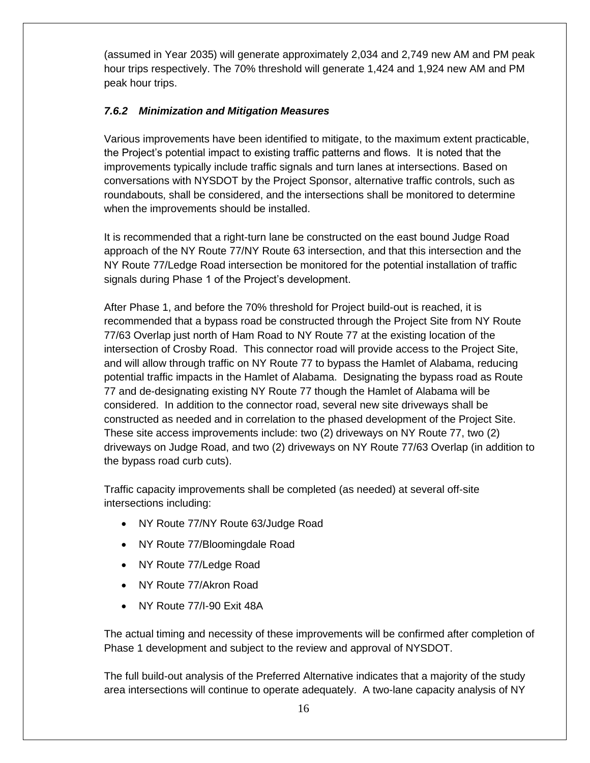(assumed in Year 2035) will generate approximately 2,034 and 2,749 new AM and PM peak hour trips respectively. The 70% threshold will generate 1,424 and 1,924 new AM and PM peak hour trips.

# *7.6.2 Minimization and Mitigation Measures*

Various improvements have been identified to mitigate, to the maximum extent practicable, the Project's potential impact to existing traffic patterns and flows. It is noted that the improvements typically include traffic signals and turn lanes at intersections. Based on conversations with NYSDOT by the Project Sponsor, alternative traffic controls, such as roundabouts, shall be considered, and the intersections shall be monitored to determine when the improvements should be installed.

It is recommended that a right-turn lane be constructed on the east bound Judge Road approach of the NY Route 77/NY Route 63 intersection, and that this intersection and the NY Route 77/Ledge Road intersection be monitored for the potential installation of traffic signals during Phase 1 of the Project's development.

After Phase 1, and before the 70% threshold for Project build-out is reached, it is recommended that a bypass road be constructed through the Project Site from NY Route 77/63 Overlap just north of Ham Road to NY Route 77 at the existing location of the intersection of Crosby Road. This connector road will provide access to the Project Site, and will allow through traffic on NY Route 77 to bypass the Hamlet of Alabama, reducing potential traffic impacts in the Hamlet of Alabama. Designating the bypass road as Route 77 and de-designating existing NY Route 77 though the Hamlet of Alabama will be considered. In addition to the connector road, several new site driveways shall be constructed as needed and in correlation to the phased development of the Project Site. These site access improvements include: two (2) driveways on NY Route 77, two (2) driveways on Judge Road, and two (2) driveways on NY Route 77/63 Overlap (in addition to the bypass road curb cuts).

Traffic capacity improvements shall be completed (as needed) at several off-site intersections including:

- NY Route 77/NY Route 63/Judge Road
- NY Route 77/Bloomingdale Road
- NY Route 77/Ledge Road
- NY Route 77/Akron Road
- NY Route 77/I-90 Exit 48A

The actual timing and necessity of these improvements will be confirmed after completion of Phase 1 development and subject to the review and approval of NYSDOT.

The full build-out analysis of the Preferred Alternative indicates that a majority of the study area intersections will continue to operate adequately. A two-lane capacity analysis of NY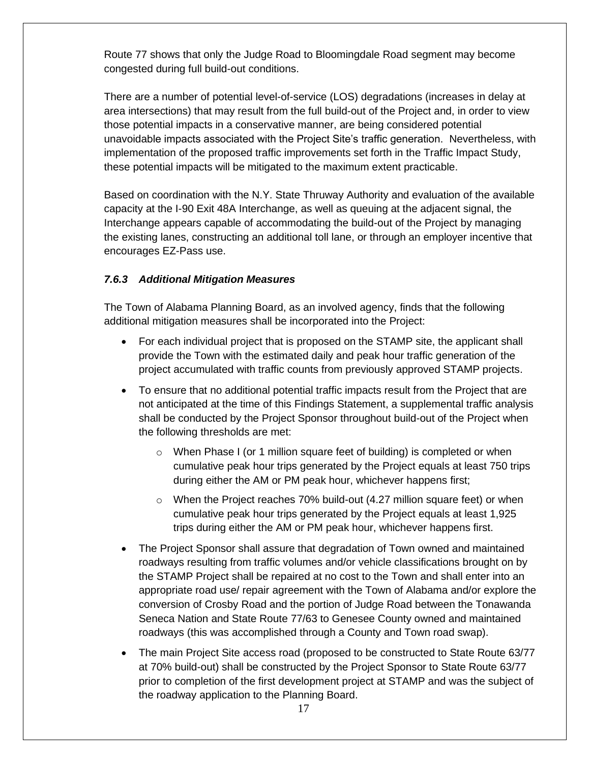Route 77 shows that only the Judge Road to Bloomingdale Road segment may become congested during full build-out conditions.

There are a number of potential level-of-service (LOS) degradations (increases in delay at area intersections) that may result from the full build-out of the Project and, in order to view those potential impacts in a conservative manner, are being considered potential unavoidable impacts associated with the Project Site's traffic generation. Nevertheless, with implementation of the proposed traffic improvements set forth in the Traffic Impact Study, these potential impacts will be mitigated to the maximum extent practicable.

Based on coordination with the N.Y. State Thruway Authority and evaluation of the available capacity at the I-90 Exit 48A Interchange, as well as queuing at the adjacent signal, the Interchange appears capable of accommodating the build-out of the Project by managing the existing lanes, constructing an additional toll lane, or through an employer incentive that encourages EZ-Pass use.

# *7.6.3 Additional Mitigation Measures*

The Town of Alabama Planning Board, as an involved agency, finds that the following additional mitigation measures shall be incorporated into the Project:

- For each individual project that is proposed on the STAMP site, the applicant shall provide the Town with the estimated daily and peak hour traffic generation of the project accumulated with traffic counts from previously approved STAMP projects.
- To ensure that no additional potential traffic impacts result from the Project that are not anticipated at the time of this Findings Statement, a supplemental traffic analysis shall be conducted by the Project Sponsor throughout build-out of the Project when the following thresholds are met:
	- $\circ$  When Phase I (or 1 million square feet of building) is completed or when cumulative peak hour trips generated by the Project equals at least 750 trips during either the AM or PM peak hour, whichever happens first;
	- $\circ$  When the Project reaches 70% build-out (4.27 million square feet) or when cumulative peak hour trips generated by the Project equals at least 1,925 trips during either the AM or PM peak hour, whichever happens first.
- The Project Sponsor shall assure that degradation of Town owned and maintained roadways resulting from traffic volumes and/or vehicle classifications brought on by the STAMP Project shall be repaired at no cost to the Town and shall enter into an appropriate road use/ repair agreement with the Town of Alabama and/or explore the conversion of Crosby Road and the portion of Judge Road between the Tonawanda Seneca Nation and State Route 77/63 to Genesee County owned and maintained roadways (this was accomplished through a County and Town road swap).
- The main Project Site access road (proposed to be constructed to State Route 63/77 at 70% build-out) shall be constructed by the Project Sponsor to State Route 63/77 prior to completion of the first development project at STAMP and was the subject of the roadway application to the Planning Board.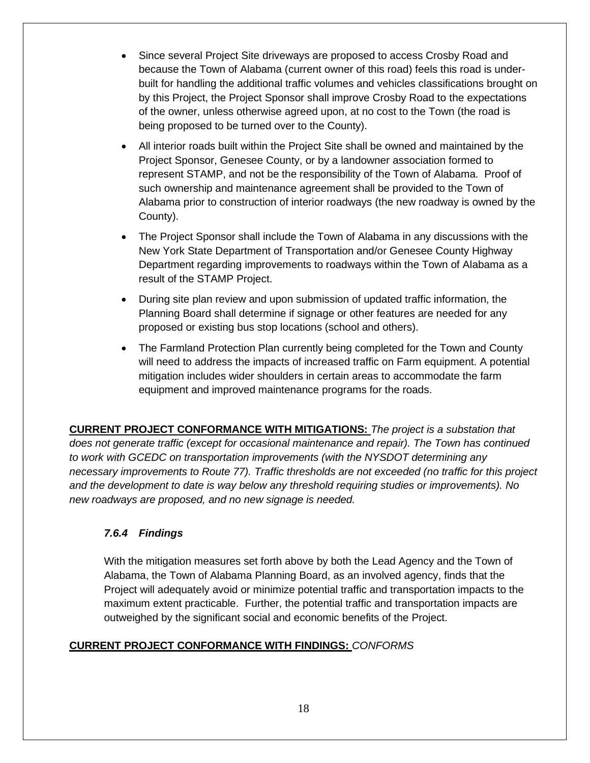- Since several Project Site driveways are proposed to access Crosby Road and because the Town of Alabama (current owner of this road) feels this road is underbuilt for handling the additional traffic volumes and vehicles classifications brought on by this Project, the Project Sponsor shall improve Crosby Road to the expectations of the owner, unless otherwise agreed upon, at no cost to the Town (the road is being proposed to be turned over to the County).
- All interior roads built within the Project Site shall be owned and maintained by the Project Sponsor, Genesee County, or by a landowner association formed to represent STAMP, and not be the responsibility of the Town of Alabama. Proof of such ownership and maintenance agreement shall be provided to the Town of Alabama prior to construction of interior roadways (the new roadway is owned by the County).
- The Project Sponsor shall include the Town of Alabama in any discussions with the New York State Department of Transportation and/or Genesee County Highway Department regarding improvements to roadways within the Town of Alabama as a result of the STAMP Project.
- During site plan review and upon submission of updated traffic information, the Planning Board shall determine if signage or other features are needed for any proposed or existing bus stop locations (school and others).
- The Farmland Protection Plan currently being completed for the Town and County will need to address the impacts of increased traffic on Farm equipment. A potential mitigation includes wider shoulders in certain areas to accommodate the farm equipment and improved maintenance programs for the roads.

**CURRENT PROJECT CONFORMANCE WITH MITIGATIONS:** *The project is a substation that does not generate traffic (except for occasional maintenance and repair). The Town has continued to work with GCEDC on transportation improvements (with the NYSDOT determining any necessary improvements to Route 77). Traffic thresholds are not exceeded (no traffic for this project and the development to date is way below any threshold requiring studies or improvements). No new roadways are proposed, and no new signage is needed.*

# *7.6.4 Findings*

With the mitigation measures set forth above by both the Lead Agency and the Town of Alabama, the Town of Alabama Planning Board, as an involved agency, finds that the Project will adequately avoid or minimize potential traffic and transportation impacts to the maximum extent practicable. Further, the potential traffic and transportation impacts are outweighed by the significant social and economic benefits of the Project.

# **CURRENT PROJECT CONFORMANCE WITH FINDINGS:** *CONFORMS*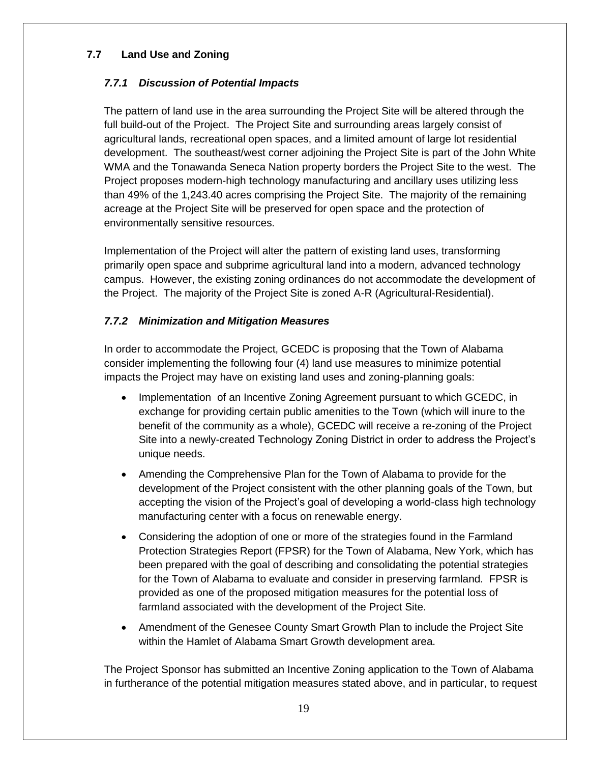# **7.7 Land Use and Zoning**

# *7.7.1 Discussion of Potential Impacts*

The pattern of land use in the area surrounding the Project Site will be altered through the full build-out of the Project. The Project Site and surrounding areas largely consist of agricultural lands, recreational open spaces, and a limited amount of large lot residential development. The southeast/west corner adjoining the Project Site is part of the John White WMA and the Tonawanda Seneca Nation property borders the Project Site to the west. The Project proposes modern-high technology manufacturing and ancillary uses utilizing less than 49% of the 1,243.40 acres comprising the Project Site. The majority of the remaining acreage at the Project Site will be preserved for open space and the protection of environmentally sensitive resources.

Implementation of the Project will alter the pattern of existing land uses, transforming primarily open space and subprime agricultural land into a modern, advanced technology campus. However, the existing zoning ordinances do not accommodate the development of the Project. The majority of the Project Site is zoned A-R (Agricultural-Residential).

# *7.7.2 Minimization and Mitigation Measures*

In order to accommodate the Project, GCEDC is proposing that the Town of Alabama consider implementing the following four (4) land use measures to minimize potential impacts the Project may have on existing land uses and zoning-planning goals:

- Implementation of an Incentive Zoning Agreement pursuant to which GCEDC, in exchange for providing certain public amenities to the Town (which will inure to the benefit of the community as a whole), GCEDC will receive a re-zoning of the Project Site into a newly-created Technology Zoning District in order to address the Project's unique needs.
- Amending the Comprehensive Plan for the Town of Alabama to provide for the development of the Project consistent with the other planning goals of the Town, but accepting the vision of the Project's goal of developing a world-class high technology manufacturing center with a focus on renewable energy.
- Considering the adoption of one or more of the strategies found in the Farmland Protection Strategies Report (FPSR) for the Town of Alabama, New York, which has been prepared with the goal of describing and consolidating the potential strategies for the Town of Alabama to evaluate and consider in preserving farmland. FPSR is provided as one of the proposed mitigation measures for the potential loss of farmland associated with the development of the Project Site.
- Amendment of the Genesee County Smart Growth Plan to include the Project Site within the Hamlet of Alabama Smart Growth development area.

The Project Sponsor has submitted an Incentive Zoning application to the Town of Alabama in furtherance of the potential mitigation measures stated above, and in particular, to request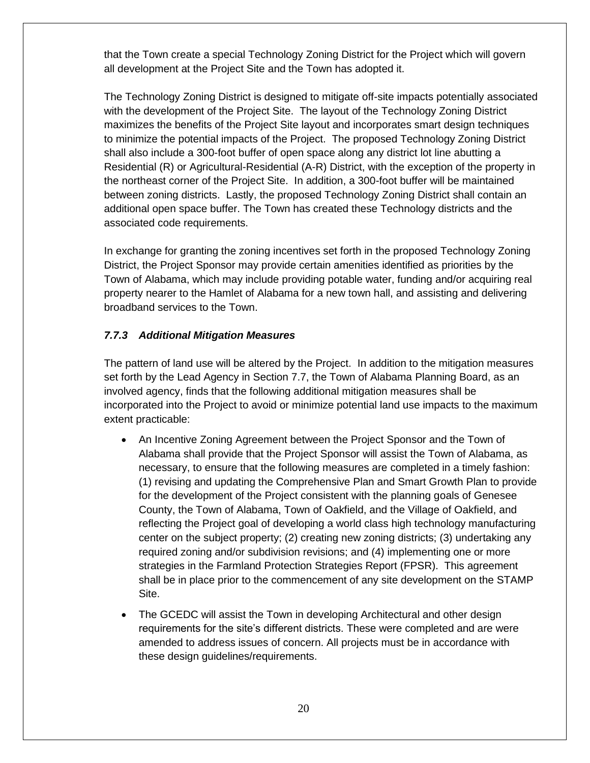that the Town create a special Technology Zoning District for the Project which will govern all development at the Project Site and the Town has adopted it.

The Technology Zoning District is designed to mitigate off-site impacts potentially associated with the development of the Project Site. The layout of the Technology Zoning District maximizes the benefits of the Project Site layout and incorporates smart design techniques to minimize the potential impacts of the Project. The proposed Technology Zoning District shall also include a 300-foot buffer of open space along any district lot line abutting a Residential (R) or Agricultural-Residential (A-R) District, with the exception of the property in the northeast corner of the Project Site. In addition, a 300-foot buffer will be maintained between zoning districts. Lastly, the proposed Technology Zoning District shall contain an additional open space buffer. The Town has created these Technology districts and the associated code requirements.

In exchange for granting the zoning incentives set forth in the proposed Technology Zoning District, the Project Sponsor may provide certain amenities identified as priorities by the Town of Alabama, which may include providing potable water, funding and/or acquiring real property nearer to the Hamlet of Alabama for a new town hall, and assisting and delivering broadband services to the Town.

# *7.7.3 Additional Mitigation Measures*

The pattern of land use will be altered by the Project. In addition to the mitigation measures set forth by the Lead Agency in Section 7.7, the Town of Alabama Planning Board, as an involved agency, finds that the following additional mitigation measures shall be incorporated into the Project to avoid or minimize potential land use impacts to the maximum extent practicable:

- An Incentive Zoning Agreement between the Project Sponsor and the Town of Alabama shall provide that the Project Sponsor will assist the Town of Alabama, as necessary, to ensure that the following measures are completed in a timely fashion: (1) revising and updating the Comprehensive Plan and Smart Growth Plan to provide for the development of the Project consistent with the planning goals of Genesee County, the Town of Alabama, Town of Oakfield, and the Village of Oakfield, and reflecting the Project goal of developing a world class high technology manufacturing center on the subject property; (2) creating new zoning districts; (3) undertaking any required zoning and/or subdivision revisions; and (4) implementing one or more strategies in the Farmland Protection Strategies Report (FPSR). This agreement shall be in place prior to the commencement of any site development on the STAMP Site.
- The GCEDC will assist the Town in developing Architectural and other design requirements for the site's different districts. These were completed and are were amended to address issues of concern. All projects must be in accordance with these design guidelines/requirements.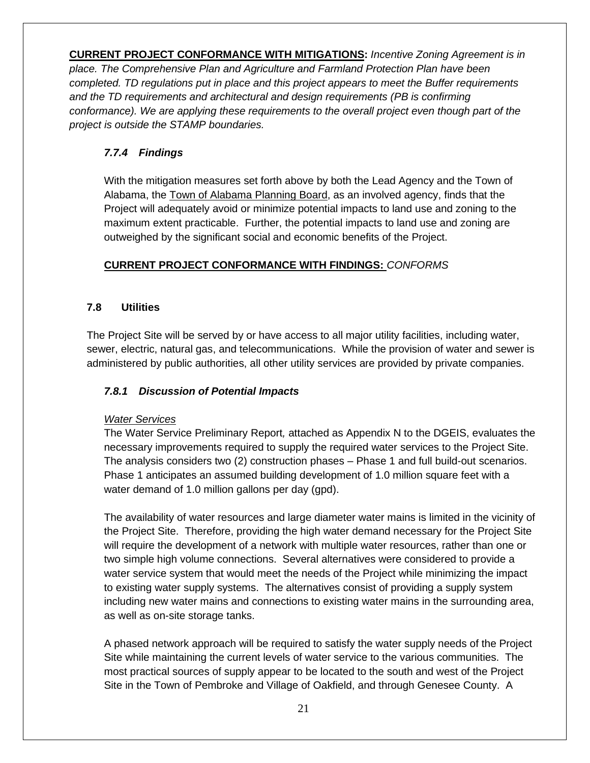**CURRENT PROJECT CONFORMANCE WITH MITIGATIONS:** *Incentive Zoning Agreement is in place. The Comprehensive Plan and Agriculture and Farmland Protection Plan have been completed. TD regulations put in place and this project appears to meet the Buffer requirements and the TD requirements and architectural and design requirements (PB is confirming conformance). We are applying these requirements to the overall project even though part of the project is outside the STAMP boundaries.*

# *7.7.4 Findings*

With the mitigation measures set forth above by both the Lead Agency and the Town of Alabama, the Town of Alabama Planning Board, as an involved agency, finds that the Project will adequately avoid or minimize potential impacts to land use and zoning to the maximum extent practicable. Further, the potential impacts to land use and zoning are outweighed by the significant social and economic benefits of the Project.

# **CURRENT PROJECT CONFORMANCE WITH FINDINGS:** *CONFORMS*

# **7.8 Utilities**

The Project Site will be served by or have access to all major utility facilities, including water, sewer, electric, natural gas, and telecommunications. While the provision of water and sewer is administered by public authorities, all other utility services are provided by private companies.

# *7.8.1 Discussion of Potential Impacts*

#### *Water Services*

The Water Service Preliminary Report*,* attached as Appendix N to the DGEIS, evaluates the necessary improvements required to supply the required water services to the Project Site. The analysis considers two (2) construction phases – Phase 1 and full build-out scenarios. Phase 1 anticipates an assumed building development of 1.0 million square feet with a water demand of 1.0 million gallons per day (gpd).

The availability of water resources and large diameter water mains is limited in the vicinity of the Project Site. Therefore, providing the high water demand necessary for the Project Site will require the development of a network with multiple water resources, rather than one or two simple high volume connections. Several alternatives were considered to provide a water service system that would meet the needs of the Project while minimizing the impact to existing water supply systems. The alternatives consist of providing a supply system including new water mains and connections to existing water mains in the surrounding area, as well as on-site storage tanks.

A phased network approach will be required to satisfy the water supply needs of the Project Site while maintaining the current levels of water service to the various communities. The most practical sources of supply appear to be located to the south and west of the Project Site in the Town of Pembroke and Village of Oakfield, and through Genesee County. A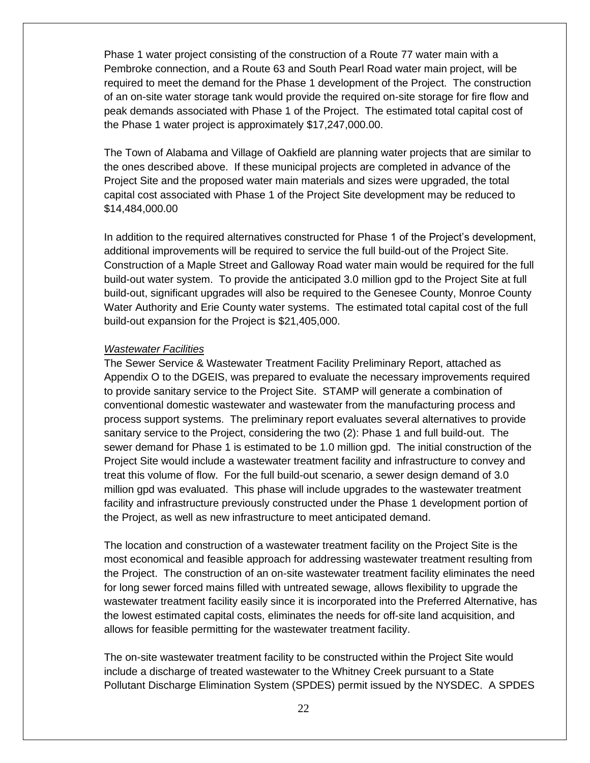Phase 1 water project consisting of the construction of a Route 77 water main with a Pembroke connection, and a Route 63 and South Pearl Road water main project, will be required to meet the demand for the Phase 1 development of the Project. The construction of an on-site water storage tank would provide the required on-site storage for fire flow and peak demands associated with Phase 1 of the Project. The estimated total capital cost of the Phase 1 water project is approximately \$17,247,000.00.

The Town of Alabama and Village of Oakfield are planning water projects that are similar to the ones described above. If these municipal projects are completed in advance of the Project Site and the proposed water main materials and sizes were upgraded, the total capital cost associated with Phase 1 of the Project Site development may be reduced to \$14,484,000.00

In addition to the required alternatives constructed for Phase 1 of the Project's development, additional improvements will be required to service the full build-out of the Project Site. Construction of a Maple Street and Galloway Road water main would be required for the full build-out water system. To provide the anticipated 3.0 million gpd to the Project Site at full build-out, significant upgrades will also be required to the Genesee County, Monroe County Water Authority and Erie County water systems. The estimated total capital cost of the full build-out expansion for the Project is \$21,405,000.

#### *Wastewater Facilities*

The Sewer Service & Wastewater Treatment Facility Preliminary Report, attached as Appendix O to the DGEIS, was prepared to evaluate the necessary improvements required to provide sanitary service to the Project Site. STAMP will generate a combination of conventional domestic wastewater and wastewater from the manufacturing process and process support systems. The preliminary report evaluates several alternatives to provide sanitary service to the Project, considering the two (2): Phase 1 and full build-out. The sewer demand for Phase 1 is estimated to be 1.0 million gpd. The initial construction of the Project Site would include a wastewater treatment facility and infrastructure to convey and treat this volume of flow. For the full build-out scenario, a sewer design demand of 3.0 million gpd was evaluated. This phase will include upgrades to the wastewater treatment facility and infrastructure previously constructed under the Phase 1 development portion of the Project, as well as new infrastructure to meet anticipated demand.

The location and construction of a wastewater treatment facility on the Project Site is the most economical and feasible approach for addressing wastewater treatment resulting from the Project. The construction of an on-site wastewater treatment facility eliminates the need for long sewer forced mains filled with untreated sewage, allows flexibility to upgrade the wastewater treatment facility easily since it is incorporated into the Preferred Alternative, has the lowest estimated capital costs, eliminates the needs for off-site land acquisition, and allows for feasible permitting for the wastewater treatment facility.

The on-site wastewater treatment facility to be constructed within the Project Site would include a discharge of treated wastewater to the Whitney Creek pursuant to a State Pollutant Discharge Elimination System (SPDES) permit issued by the NYSDEC. A SPDES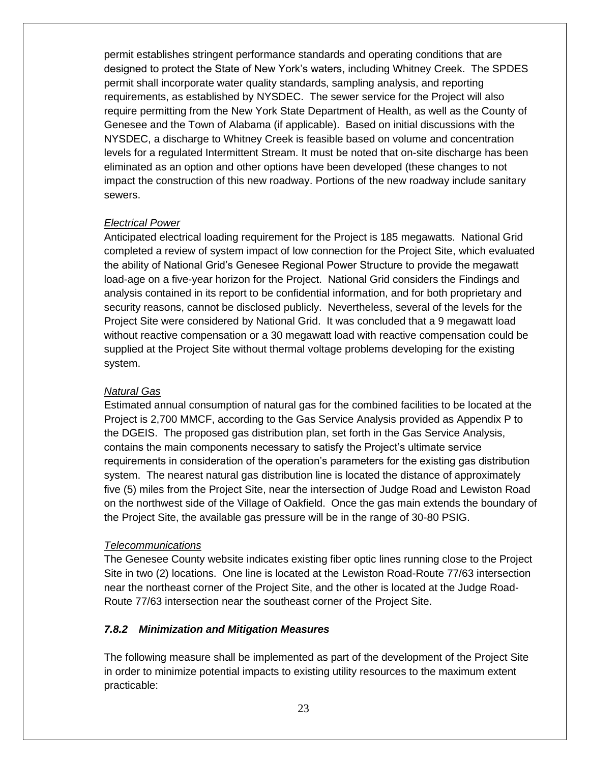permit establishes stringent performance standards and operating conditions that are designed to protect the State of New York's waters, including Whitney Creek. The SPDES permit shall incorporate water quality standards, sampling analysis, and reporting requirements, as established by NYSDEC. The sewer service for the Project will also require permitting from the New York State Department of Health, as well as the County of Genesee and the Town of Alabama (if applicable). Based on initial discussions with the NYSDEC, a discharge to Whitney Creek is feasible based on volume and concentration levels for a regulated Intermittent Stream. It must be noted that on-site discharge has been eliminated as an option and other options have been developed (these changes to not impact the construction of this new roadway. Portions of the new roadway include sanitary sewers.

#### *Electrical Power*

Anticipated electrical loading requirement for the Project is 185 megawatts. National Grid completed a review of system impact of low connection for the Project Site, which evaluated the ability of National Grid's Genesee Regional Power Structure to provide the megawatt load-age on a five-year horizon for the Project. National Grid considers the Findings and analysis contained in its report to be confidential information, and for both proprietary and security reasons, cannot be disclosed publicly. Nevertheless, several of the levels for the Project Site were considered by National Grid. It was concluded that a 9 megawatt load without reactive compensation or a 30 megawatt load with reactive compensation could be supplied at the Project Site without thermal voltage problems developing for the existing system.

#### *Natural Gas*

Estimated annual consumption of natural gas for the combined facilities to be located at the Project is 2,700 MMCF, according to the Gas Service Analysis provided as Appendix P to the DGEIS. The proposed gas distribution plan, set forth in the Gas Service Analysis, contains the main components necessary to satisfy the Project's ultimate service requirements in consideration of the operation's parameters for the existing gas distribution system. The nearest natural gas distribution line is located the distance of approximately five (5) miles from the Project Site, near the intersection of Judge Road and Lewiston Road on the northwest side of the Village of Oakfield. Once the gas main extends the boundary of the Project Site, the available gas pressure will be in the range of 30-80 PSIG.

#### *Telecommunications*

The Genesee County website indicates existing fiber optic lines running close to the Project Site in two (2) locations. One line is located at the Lewiston Road-Route 77/63 intersection near the northeast corner of the Project Site, and the other is located at the Judge Road-Route 77/63 intersection near the southeast corner of the Project Site.

#### *7.8.2 Minimization and Mitigation Measures*

The following measure shall be implemented as part of the development of the Project Site in order to minimize potential impacts to existing utility resources to the maximum extent practicable: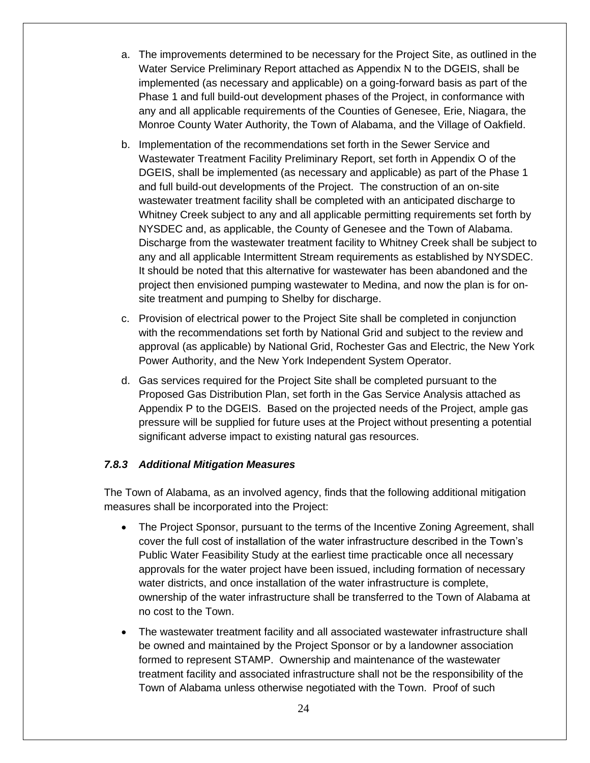- a. The improvements determined to be necessary for the Project Site, as outlined in the Water Service Preliminary Report attached as Appendix N to the DGEIS, shall be implemented (as necessary and applicable) on a going-forward basis as part of the Phase 1 and full build-out development phases of the Project, in conformance with any and all applicable requirements of the Counties of Genesee, Erie, Niagara, the Monroe County Water Authority, the Town of Alabama, and the Village of Oakfield.
- b. Implementation of the recommendations set forth in the Sewer Service and Wastewater Treatment Facility Preliminary Report, set forth in Appendix O of the DGEIS, shall be implemented (as necessary and applicable) as part of the Phase 1 and full build-out developments of the Project. The construction of an on-site wastewater treatment facility shall be completed with an anticipated discharge to Whitney Creek subject to any and all applicable permitting requirements set forth by NYSDEC and, as applicable, the County of Genesee and the Town of Alabama. Discharge from the wastewater treatment facility to Whitney Creek shall be subject to any and all applicable Intermittent Stream requirements as established by NYSDEC. It should be noted that this alternative for wastewater has been abandoned and the project then envisioned pumping wastewater to Medina, and now the plan is for onsite treatment and pumping to Shelby for discharge.
- c. Provision of electrical power to the Project Site shall be completed in conjunction with the recommendations set forth by National Grid and subject to the review and approval (as applicable) by National Grid, Rochester Gas and Electric, the New York Power Authority, and the New York Independent System Operator.
- d. Gas services required for the Project Site shall be completed pursuant to the Proposed Gas Distribution Plan, set forth in the Gas Service Analysis attached as Appendix P to the DGEIS. Based on the projected needs of the Project, ample gas pressure will be supplied for future uses at the Project without presenting a potential significant adverse impact to existing natural gas resources.

#### *7.8.3 Additional Mitigation Measures*

The Town of Alabama, as an involved agency, finds that the following additional mitigation measures shall be incorporated into the Project:

- The Project Sponsor, pursuant to the terms of the Incentive Zoning Agreement, shall cover the full cost of installation of the water infrastructure described in the Town's Public Water Feasibility Study at the earliest time practicable once all necessary approvals for the water project have been issued, including formation of necessary water districts, and once installation of the water infrastructure is complete, ownership of the water infrastructure shall be transferred to the Town of Alabama at no cost to the Town.
- The wastewater treatment facility and all associated wastewater infrastructure shall be owned and maintained by the Project Sponsor or by a landowner association formed to represent STAMP. Ownership and maintenance of the wastewater treatment facility and associated infrastructure shall not be the responsibility of the Town of Alabama unless otherwise negotiated with the Town. Proof of such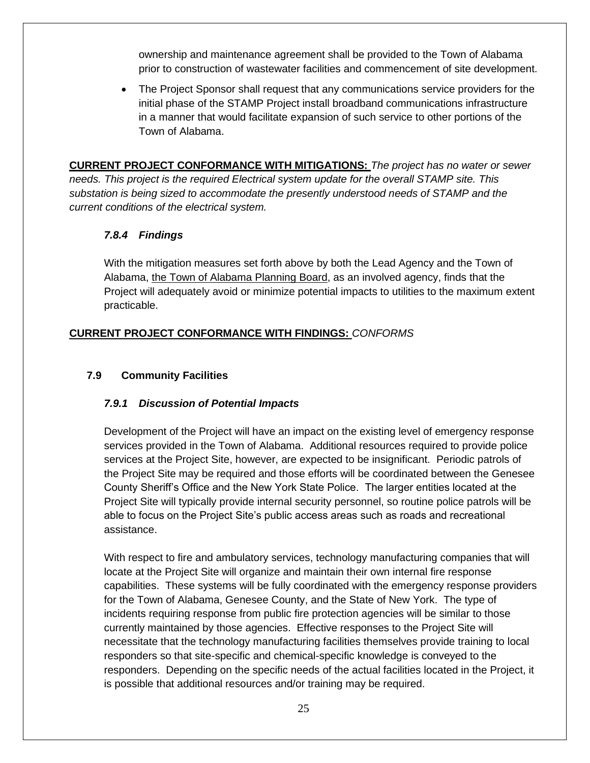ownership and maintenance agreement shall be provided to the Town of Alabama prior to construction of wastewater facilities and commencement of site development.

• The Project Sponsor shall request that any communications service providers for the initial phase of the STAMP Project install broadband communications infrastructure in a manner that would facilitate expansion of such service to other portions of the Town of Alabama.

**CURRENT PROJECT CONFORMANCE WITH MITIGATIONS:** *The project has no water or sewer needs. This project is the required Electrical system update for the overall STAMP site. This substation is being sized to accommodate the presently understood needs of STAMP and the current conditions of the electrical system.*

# *7.8.4 Findings*

With the mitigation measures set forth above by both the Lead Agency and the Town of Alabama, the Town of Alabama Planning Board, as an involved agency, finds that the Project will adequately avoid or minimize potential impacts to utilities to the maximum extent practicable.

# **CURRENT PROJECT CONFORMANCE WITH FINDINGS:** *CONFORMS*

#### **7.9 Community Facilities**

# *7.9.1 Discussion of Potential Impacts*

Development of the Project will have an impact on the existing level of emergency response services provided in the Town of Alabama. Additional resources required to provide police services at the Project Site, however, are expected to be insignificant. Periodic patrols of the Project Site may be required and those efforts will be coordinated between the Genesee County Sheriff's Office and the New York State Police. The larger entities located at the Project Site will typically provide internal security personnel, so routine police patrols will be able to focus on the Project Site's public access areas such as roads and recreational assistance.

With respect to fire and ambulatory services, technology manufacturing companies that will locate at the Project Site will organize and maintain their own internal fire response capabilities. These systems will be fully coordinated with the emergency response providers for the Town of Alabama, Genesee County, and the State of New York. The type of incidents requiring response from public fire protection agencies will be similar to those currently maintained by those agencies. Effective responses to the Project Site will necessitate that the technology manufacturing facilities themselves provide training to local responders so that site-specific and chemical-specific knowledge is conveyed to the responders. Depending on the specific needs of the actual facilities located in the Project, it is possible that additional resources and/or training may be required.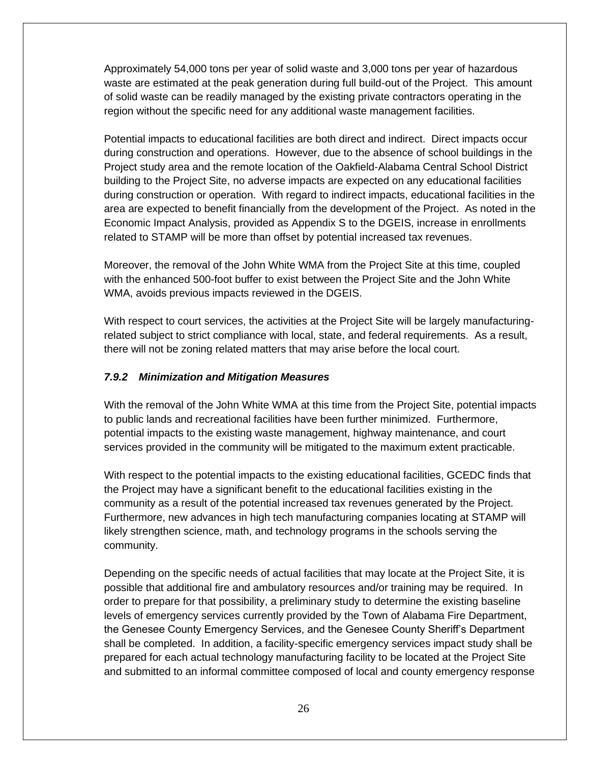Approximately 54,000 tons per year of solid waste and 3,000 tons per year of hazardous waste are estimated at the peak generation during full build-out of the Project. This amount of solid waste can be readily managed by the existing private contractors operating in the region without the specific need for any additional waste management facilities.

Potential impacts to educational facilities are both direct and indirect. Direct impacts occur during construction and operations. However, due to the absence of school buildings in the Project study area and the remote location of the Oakfield-Alabama Central School District building to the Project Site, no adverse impacts are expected on any educational facilities during construction or operation. With regard to indirect impacts, educational facilities in the area are expected to benefit financially from the development of the Project. As noted in the Economic Impact Analysis, provided as Appendix S to the DGEIS, increase in enrollments related to STAMP will be more than offset by potential increased tax revenues.

Moreover, the removal of the John White WMA from the Project Site at this time, coupled with the enhanced 500-foot buffer to exist between the Project Site and the John White WMA, avoids previous impacts reviewed in the DGEIS.

With respect to court services, the activities at the Project Site will be largely manufacturingrelated subject to strict compliance with local, state, and federal requirements. As a result, there will not be zoning related matters that may arise before the local court.

#### *7.9.2 Minimization and Mitigation Measures*

With the removal of the John White WMA at this time from the Project Site, potential impacts to public lands and recreational facilities have been further minimized. Furthermore, potential impacts to the existing waste management, highway maintenance, and court services provided in the community will be mitigated to the maximum extent practicable.

With respect to the potential impacts to the existing educational facilities, GCEDC finds that the Project may have a significant benefit to the educational facilities existing in the community as a result of the potential increased tax revenues generated by the Project. Furthermore, new advances in high tech manufacturing companies locating at STAMP will likely strengthen science, math, and technology programs in the schools serving the community.

Depending on the specific needs of actual facilities that may locate at the Project Site, it is possible that additional fire and ambulatory resources and/or training may be required. In order to prepare for that possibility, a preliminary study to determine the existing baseline levels of emergency services currently provided by the Town of Alabama Fire Department, the Genesee County Emergency Services, and the Genesee County Sheriff's Department shall be completed. In addition, a facility-specific emergency services impact study shall be prepared for each actual technology manufacturing facility to be located at the Project Site and submitted to an informal committee composed of local and county emergency response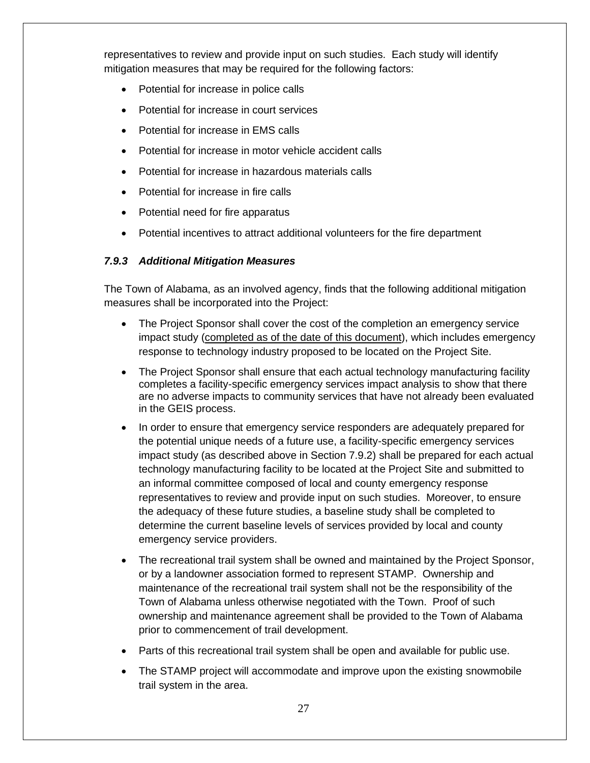representatives to review and provide input on such studies. Each study will identify mitigation measures that may be required for the following factors:

- Potential for increase in police calls
- Potential for increase in court services
- Potential for increase in EMS calls
- Potential for increase in motor vehicle accident calls
- Potential for increase in hazardous materials calls
- Potential for increase in fire calls
- Potential need for fire apparatus
- Potential incentives to attract additional volunteers for the fire department

#### *7.9.3 Additional Mitigation Measures*

The Town of Alabama, as an involved agency, finds that the following additional mitigation measures shall be incorporated into the Project:

- The Project Sponsor shall cover the cost of the completion an emergency service impact study (completed as of the date of this document), which includes emergency response to technology industry proposed to be located on the Project Site.
- The Project Sponsor shall ensure that each actual technology manufacturing facility completes a facility-specific emergency services impact analysis to show that there are no adverse impacts to community services that have not already been evaluated in the GEIS process.
- In order to ensure that emergency service responders are adequately prepared for the potential unique needs of a future use, a facility-specific emergency services impact study (as described above in Section 7.9.2) shall be prepared for each actual technology manufacturing facility to be located at the Project Site and submitted to an informal committee composed of local and county emergency response representatives to review and provide input on such studies. Moreover, to ensure the adequacy of these future studies, a baseline study shall be completed to determine the current baseline levels of services provided by local and county emergency service providers.
- The recreational trail system shall be owned and maintained by the Project Sponsor, or by a landowner association formed to represent STAMP. Ownership and maintenance of the recreational trail system shall not be the responsibility of the Town of Alabama unless otherwise negotiated with the Town. Proof of such ownership and maintenance agreement shall be provided to the Town of Alabama prior to commencement of trail development.
- Parts of this recreational trail system shall be open and available for public use.
- The STAMP project will accommodate and improve upon the existing snowmobile trail system in the area.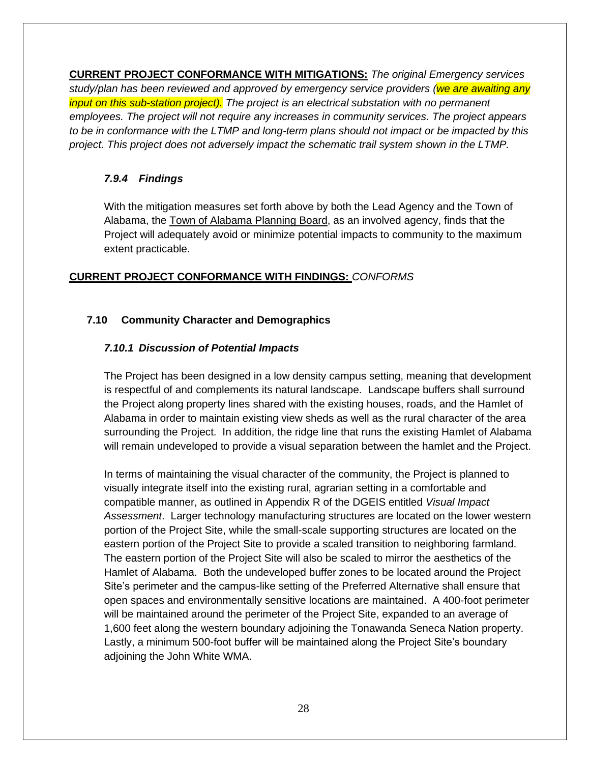**CURRENT PROJECT CONFORMANCE WITH MITIGATIONS:** *The original Emergency services study/plan has been reviewed and approved by emergency service providers (we are awaiting any input on this sub-station project). The project is an electrical substation with no permanent employees. The project will not require any increases in community services. The project appears to be in conformance with the LTMP and long-term plans should not impact or be impacted by this project. This project does not adversely impact the schematic trail system shown in the LTMP.* 

# *7.9.4 Findings*

With the mitigation measures set forth above by both the Lead Agency and the Town of Alabama, the Town of Alabama Planning Board, as an involved agency, finds that the Project will adequately avoid or minimize potential impacts to community to the maximum extent practicable.

# **CURRENT PROJECT CONFORMANCE WITH FINDINGS:** *CONFORMS*

# **7.10 Community Character and Demographics**

# *7.10.1 Discussion of Potential Impacts*

The Project has been designed in a low density campus setting, meaning that development is respectful of and complements its natural landscape. Landscape buffers shall surround the Project along property lines shared with the existing houses, roads, and the Hamlet of Alabama in order to maintain existing view sheds as well as the rural character of the area surrounding the Project. In addition, the ridge line that runs the existing Hamlet of Alabama will remain undeveloped to provide a visual separation between the hamlet and the Project.

In terms of maintaining the visual character of the community, the Project is planned to visually integrate itself into the existing rural, agrarian setting in a comfortable and compatible manner, as outlined in Appendix R of the DGEIS entitled *Visual Impact Assessment*. Larger technology manufacturing structures are located on the lower western portion of the Project Site, while the small-scale supporting structures are located on the eastern portion of the Project Site to provide a scaled transition to neighboring farmland. The eastern portion of the Project Site will also be scaled to mirror the aesthetics of the Hamlet of Alabama. Both the undeveloped buffer zones to be located around the Project Site's perimeter and the campus-like setting of the Preferred Alternative shall ensure that open spaces and environmentally sensitive locations are maintained. A 400-foot perimeter will be maintained around the perimeter of the Project Site, expanded to an average of 1,600 feet along the western boundary adjoining the Tonawanda Seneca Nation property. Lastly, a minimum 500-foot buffer will be maintained along the Project Site's boundary adjoining the John White WMA.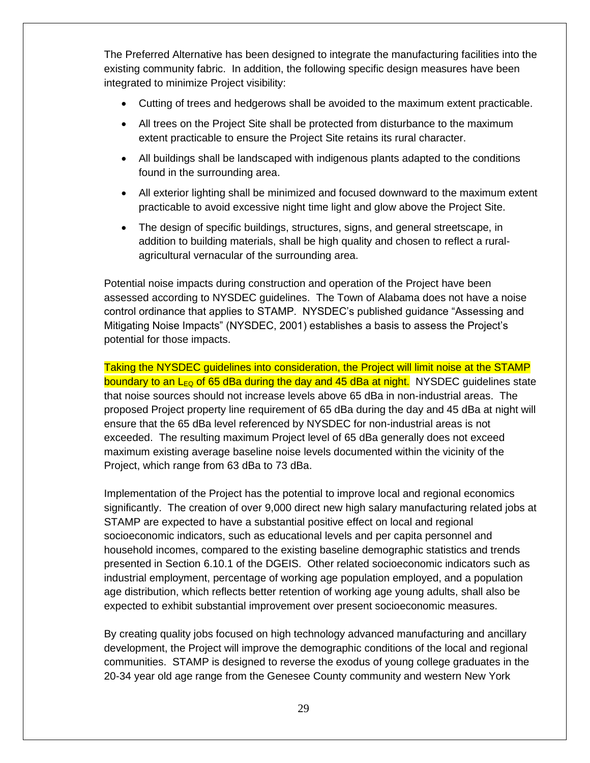The Preferred Alternative has been designed to integrate the manufacturing facilities into the existing community fabric. In addition, the following specific design measures have been integrated to minimize Project visibility:

- Cutting of trees and hedgerows shall be avoided to the maximum extent practicable.
- All trees on the Project Site shall be protected from disturbance to the maximum extent practicable to ensure the Project Site retains its rural character.
- All buildings shall be landscaped with indigenous plants adapted to the conditions found in the surrounding area.
- All exterior lighting shall be minimized and focused downward to the maximum extent practicable to avoid excessive night time light and glow above the Project Site.
- The design of specific buildings, structures, signs, and general streetscape, in addition to building materials, shall be high quality and chosen to reflect a ruralagricultural vernacular of the surrounding area.

Potential noise impacts during construction and operation of the Project have been assessed according to NYSDEC guidelines. The Town of Alabama does not have a noise control ordinance that applies to STAMP. NYSDEC's published guidance "Assessing and Mitigating Noise Impacts" (NYSDEC, 2001) establishes a basis to assess the Project's potential for those impacts.

Taking the NYSDEC guidelines into consideration, the Project will limit noise at the STAMP boundary to an  $L_{EQ}$  of 65 dBa during the day and 45 dBa at night. NYSDEC guidelines state that noise sources should not increase levels above 65 dBa in non-industrial areas. The proposed Project property line requirement of 65 dBa during the day and 45 dBa at night will ensure that the 65 dBa level referenced by NYSDEC for non-industrial areas is not exceeded. The resulting maximum Project level of 65 dBa generally does not exceed maximum existing average baseline noise levels documented within the vicinity of the Project, which range from 63 dBa to 73 dBa.

Implementation of the Project has the potential to improve local and regional economics significantly. The creation of over 9,000 direct new high salary manufacturing related jobs at STAMP are expected to have a substantial positive effect on local and regional socioeconomic indicators, such as educational levels and per capita personnel and household incomes, compared to the existing baseline demographic statistics and trends presented in Section 6.10.1 of the DGEIS. Other related socioeconomic indicators such as industrial employment, percentage of working age population employed, and a population age distribution, which reflects better retention of working age young adults, shall also be expected to exhibit substantial improvement over present socioeconomic measures.

By creating quality jobs focused on high technology advanced manufacturing and ancillary development, the Project will improve the demographic conditions of the local and regional communities. STAMP is designed to reverse the exodus of young college graduates in the 20-34 year old age range from the Genesee County community and western New York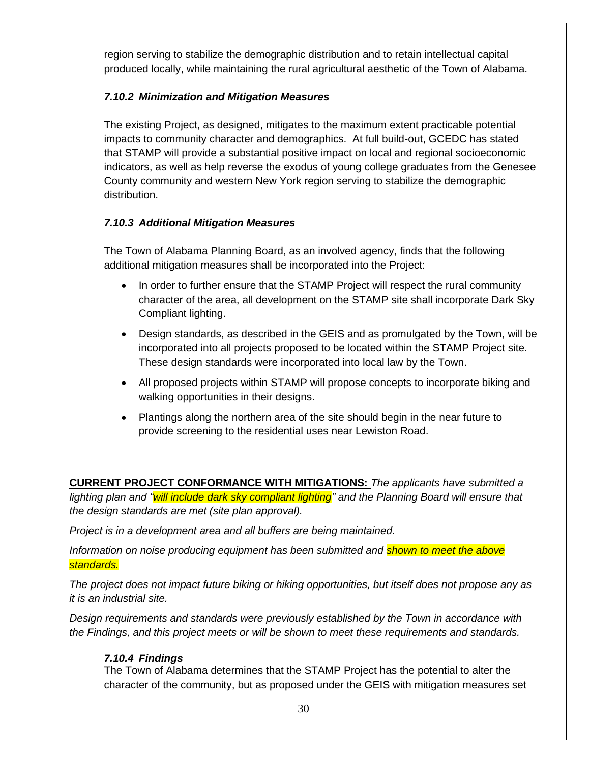region serving to stabilize the demographic distribution and to retain intellectual capital produced locally, while maintaining the rural agricultural aesthetic of the Town of Alabama.

# *7.10.2 Minimization and Mitigation Measures*

The existing Project, as designed, mitigates to the maximum extent practicable potential impacts to community character and demographics. At full build-out, GCEDC has stated that STAMP will provide a substantial positive impact on local and regional socioeconomic indicators, as well as help reverse the exodus of young college graduates from the Genesee County community and western New York region serving to stabilize the demographic distribution.

# *7.10.3 Additional Mitigation Measures*

The Town of Alabama Planning Board, as an involved agency, finds that the following additional mitigation measures shall be incorporated into the Project:

- In order to further ensure that the STAMP Project will respect the rural community character of the area, all development on the STAMP site shall incorporate Dark Sky Compliant lighting.
- Design standards, as described in the GEIS and as promulgated by the Town, will be incorporated into all projects proposed to be located within the STAMP Project site. These design standards were incorporated into local law by the Town.
- All proposed projects within STAMP will propose concepts to incorporate biking and walking opportunities in their designs.
- Plantings along the northern area of the site should begin in the near future to provide screening to the residential uses near Lewiston Road.

**CURRENT PROJECT CONFORMANCE WITH MITIGATIONS:** *The applicants have submitted a lighting plan and "will include dark sky compliant lighting" and the Planning Board will ensure that the design standards are met (site plan approval).*

*Project is in a development area and all buffers are being maintained.*

*Information on noise producing equipment has been submitted and shown to meet the above standards.*

*The project does not impact future biking or hiking opportunities, but itself does not propose any as it is an industrial site.*

*Design requirements and standards were previously established by the Town in accordance with the Findings, and this project meets or will be shown to meet these requirements and standards.*

# *7.10.4 Findings*

The Town of Alabama determines that the STAMP Project has the potential to alter the character of the community, but as proposed under the GEIS with mitigation measures set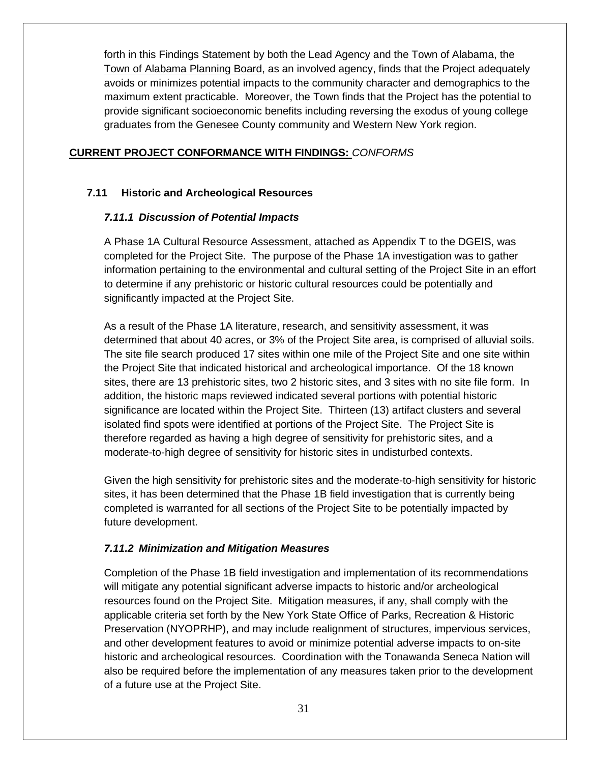forth in this Findings Statement by both the Lead Agency and the Town of Alabama, the Town of Alabama Planning Board, as an involved agency, finds that the Project adequately avoids or minimizes potential impacts to the community character and demographics to the maximum extent practicable. Moreover, the Town finds that the Project has the potential to provide significant socioeconomic benefits including reversing the exodus of young college graduates from the Genesee County community and Western New York region.

#### **CURRENT PROJECT CONFORMANCE WITH FINDINGS:** *CONFORMS*

# **7.11 Historic and Archeological Resources**

#### *7.11.1 Discussion of Potential Impacts*

A Phase 1A Cultural Resource Assessment, attached as Appendix T to the DGEIS, was completed for the Project Site. The purpose of the Phase 1A investigation was to gather information pertaining to the environmental and cultural setting of the Project Site in an effort to determine if any prehistoric or historic cultural resources could be potentially and significantly impacted at the Project Site.

As a result of the Phase 1A literature, research, and sensitivity assessment, it was determined that about 40 acres, or 3% of the Project Site area, is comprised of alluvial soils. The site file search produced 17 sites within one mile of the Project Site and one site within the Project Site that indicated historical and archeological importance. Of the 18 known sites, there are 13 prehistoric sites, two 2 historic sites, and 3 sites with no site file form. In addition, the historic maps reviewed indicated several portions with potential historic significance are located within the Project Site. Thirteen (13) artifact clusters and several isolated find spots were identified at portions of the Project Site. The Project Site is therefore regarded as having a high degree of sensitivity for prehistoric sites, and a moderate-to-high degree of sensitivity for historic sites in undisturbed contexts.

Given the high sensitivity for prehistoric sites and the moderate-to-high sensitivity for historic sites, it has been determined that the Phase 1B field investigation that is currently being completed is warranted for all sections of the Project Site to be potentially impacted by future development.

#### *7.11.2 Minimization and Mitigation Measures*

Completion of the Phase 1B field investigation and implementation of its recommendations will mitigate any potential significant adverse impacts to historic and/or archeological resources found on the Project Site. Mitigation measures, if any, shall comply with the applicable criteria set forth by the New York State Office of Parks, Recreation & Historic Preservation (NYOPRHP), and may include realignment of structures, impervious services, and other development features to avoid or minimize potential adverse impacts to on-site historic and archeological resources. Coordination with the Tonawanda Seneca Nation will also be required before the implementation of any measures taken prior to the development of a future use at the Project Site.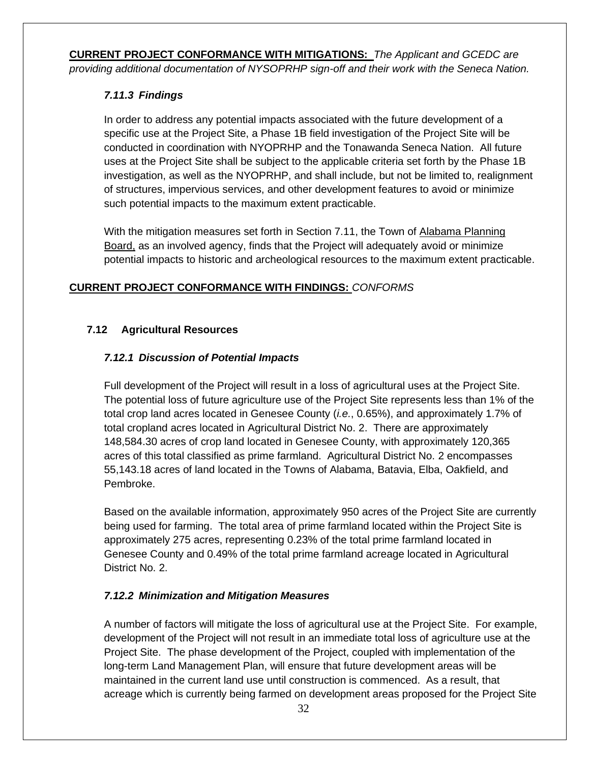**CURRENT PROJECT CONFORMANCE WITH MITIGATIONS:** *The Applicant and GCEDC are providing additional documentation of NYSOPRHP sign-off and their work with the Seneca Nation.*

# *7.11.3 Findings*

In order to address any potential impacts associated with the future development of a specific use at the Project Site, a Phase 1B field investigation of the Project Site will be conducted in coordination with NYOPRHP and the Tonawanda Seneca Nation. All future uses at the Project Site shall be subject to the applicable criteria set forth by the Phase 1B investigation, as well as the NYOPRHP, and shall include, but not be limited to, realignment of structures, impervious services, and other development features to avoid or minimize such potential impacts to the maximum extent practicable.

With the mitigation measures set forth in Section 7.11, the Town of Alabama Planning Board, as an involved agency, finds that the Project will adequately avoid or minimize potential impacts to historic and archeological resources to the maximum extent practicable.

# **CURRENT PROJECT CONFORMANCE WITH FINDINGS:** *CONFORMS*

# **7.12 Agricultural Resources**

# *7.12.1 Discussion of Potential Impacts*

Full development of the Project will result in a loss of agricultural uses at the Project Site. The potential loss of future agriculture use of the Project Site represents less than 1% of the total crop land acres located in Genesee County (*i.e.*, 0.65%), and approximately 1.7% of total cropland acres located in Agricultural District No. 2. There are approximately 148,584.30 acres of crop land located in Genesee County, with approximately 120,365 acres of this total classified as prime farmland. Agricultural District No. 2 encompasses 55,143.18 acres of land located in the Towns of Alabama, Batavia, Elba, Oakfield, and Pembroke.

Based on the available information, approximately 950 acres of the Project Site are currently being used for farming. The total area of prime farmland located within the Project Site is approximately 275 acres, representing 0.23% of the total prime farmland located in Genesee County and 0.49% of the total prime farmland acreage located in Agricultural District No. 2.

# *7.12.2 Minimization and Mitigation Measures*

A number of factors will mitigate the loss of agricultural use at the Project Site. For example, development of the Project will not result in an immediate total loss of agriculture use at the Project Site. The phase development of the Project, coupled with implementation of the long-term Land Management Plan, will ensure that future development areas will be maintained in the current land use until construction is commenced. As a result, that acreage which is currently being farmed on development areas proposed for the Project Site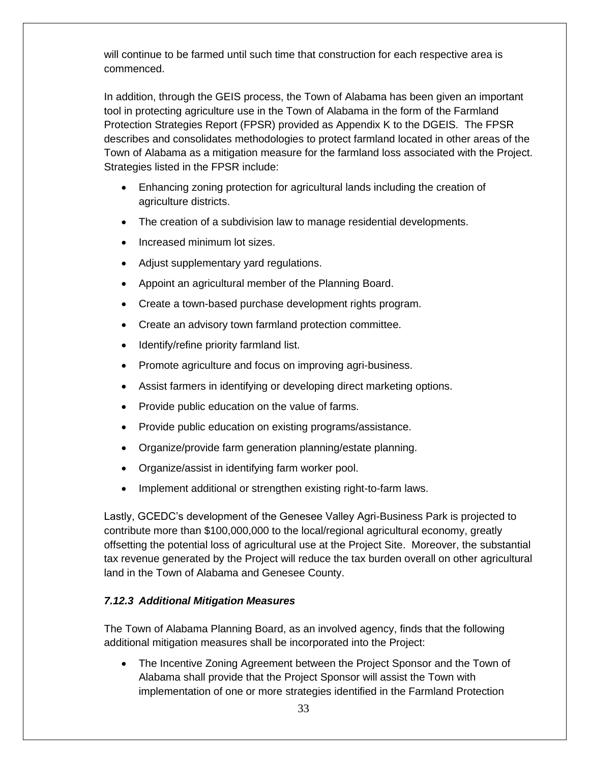will continue to be farmed until such time that construction for each respective area is commenced.

In addition, through the GEIS process, the Town of Alabama has been given an important tool in protecting agriculture use in the Town of Alabama in the form of the Farmland Protection Strategies Report (FPSR) provided as Appendix K to the DGEIS. The FPSR describes and consolidates methodologies to protect farmland located in other areas of the Town of Alabama as a mitigation measure for the farmland loss associated with the Project. Strategies listed in the FPSR include:

- Enhancing zoning protection for agricultural lands including the creation of agriculture districts.
- The creation of a subdivision law to manage residential developments.
- Increased minimum lot sizes.
- Adjust supplementary yard regulations.
- Appoint an agricultural member of the Planning Board.
- Create a town-based purchase development rights program.
- Create an advisory town farmland protection committee.
- Identify/refine priority farmland list.
- Promote agriculture and focus on improving agri-business.
- Assist farmers in identifying or developing direct marketing options.
- Provide public education on the value of farms.
- Provide public education on existing programs/assistance.
- Organize/provide farm generation planning/estate planning.
- Organize/assist in identifying farm worker pool.
- Implement additional or strengthen existing right-to-farm laws.

Lastly, GCEDC's development of the Genesee Valley Agri-Business Park is projected to contribute more than \$100,000,000 to the local/regional agricultural economy, greatly offsetting the potential loss of agricultural use at the Project Site. Moreover, the substantial tax revenue generated by the Project will reduce the tax burden overall on other agricultural land in the Town of Alabama and Genesee County.

#### *7.12.3 Additional Mitigation Measures*

The Town of Alabama Planning Board, as an involved agency, finds that the following additional mitigation measures shall be incorporated into the Project:

• The Incentive Zoning Agreement between the Project Sponsor and the Town of Alabama shall provide that the Project Sponsor will assist the Town with implementation of one or more strategies identified in the Farmland Protection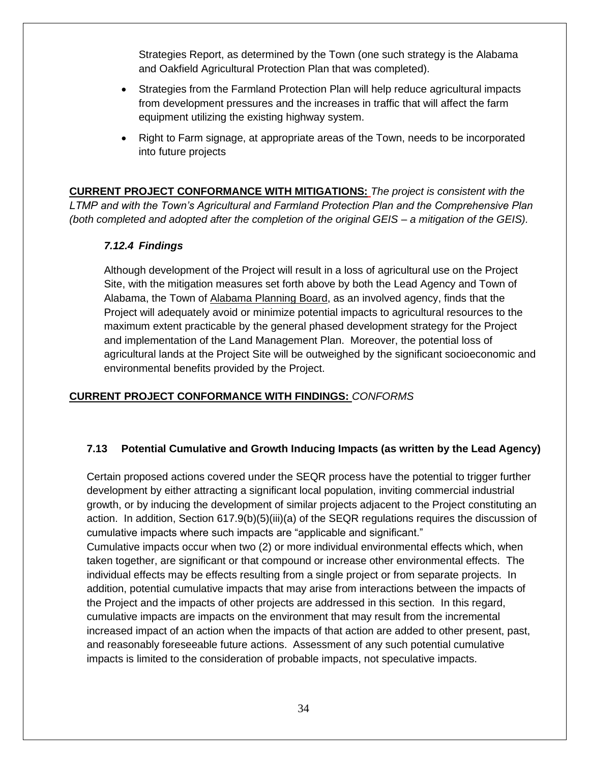Strategies Report, as determined by the Town (one such strategy is the Alabama and Oakfield Agricultural Protection Plan that was completed).

- Strategies from the Farmland Protection Plan will help reduce agricultural impacts from development pressures and the increases in traffic that will affect the farm equipment utilizing the existing highway system.
- Right to Farm signage, at appropriate areas of the Town, needs to be incorporated into future projects

**CURRENT PROJECT CONFORMANCE WITH MITIGATIONS:** *The project is consistent with the LTMP and with the Town's Agricultural and Farmland Protection Plan and the Comprehensive Plan (both completed and adopted after the completion of the original GEIS – a mitigation of the GEIS).*

# *7.12.4 Findings*

Although development of the Project will result in a loss of agricultural use on the Project Site, with the mitigation measures set forth above by both the Lead Agency and Town of Alabama, the Town of Alabama Planning Board, as an involved agency, finds that the Project will adequately avoid or minimize potential impacts to agricultural resources to the maximum extent practicable by the general phased development strategy for the Project and implementation of the Land Management Plan. Moreover, the potential loss of agricultural lands at the Project Site will be outweighed by the significant socioeconomic and environmental benefits provided by the Project.

# **CURRENT PROJECT CONFORMANCE WITH FINDINGS:** *CONFORMS*

# **7.13 Potential Cumulative and Growth Inducing Impacts (as written by the Lead Agency)**

Certain proposed actions covered under the SEQR process have the potential to trigger further development by either attracting a significant local population, inviting commercial industrial growth, or by inducing the development of similar projects adjacent to the Project constituting an action. In addition, Section 617.9(b)(5)(iii)(a) of the SEQR regulations requires the discussion of cumulative impacts where such impacts are "applicable and significant."

Cumulative impacts occur when two (2) or more individual environmental effects which, when taken together, are significant or that compound or increase other environmental effects. The individual effects may be effects resulting from a single project or from separate projects. In addition, potential cumulative impacts that may arise from interactions between the impacts of the Project and the impacts of other projects are addressed in this section. In this regard, cumulative impacts are impacts on the environment that may result from the incremental increased impact of an action when the impacts of that action are added to other present, past, and reasonably foreseeable future actions. Assessment of any such potential cumulative impacts is limited to the consideration of probable impacts, not speculative impacts.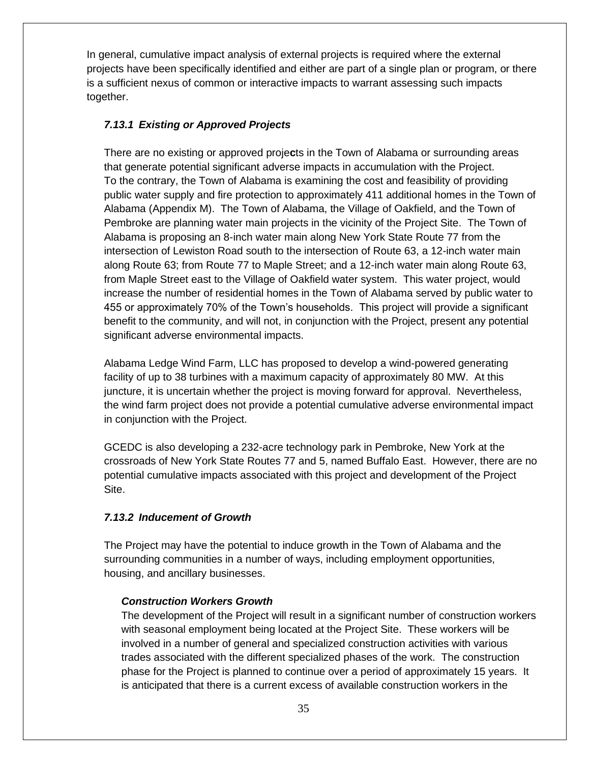In general, cumulative impact analysis of external projects is required where the external projects have been specifically identified and either are part of a single plan or program, or there is a sufficient nexus of common or interactive impacts to warrant assessing such impacts together.

#### *7.13.1 Existing or Approved Projects*

There are no existing or approved proje**c**ts in the Town of Alabama or surrounding areas that generate potential significant adverse impacts in accumulation with the Project. To the contrary, the Town of Alabama is examining the cost and feasibility of providing public water supply and fire protection to approximately 411 additional homes in the Town of Alabama (Appendix M). The Town of Alabama, the Village of Oakfield, and the Town of Pembroke are planning water main projects in the vicinity of the Project Site. The Town of Alabama is proposing an 8-inch water main along New York State Route 77 from the intersection of Lewiston Road south to the intersection of Route 63, a 12-inch water main along Route 63; from Route 77 to Maple Street; and a 12-inch water main along Route 63, from Maple Street east to the Village of Oakfield water system. This water project, would increase the number of residential homes in the Town of Alabama served by public water to 455 or approximately 70% of the Town's households. This project will provide a significant benefit to the community, and will not, in conjunction with the Project, present any potential significant adverse environmental impacts.

Alabama Ledge Wind Farm, LLC has proposed to develop a wind-powered generating facility of up to 38 turbines with a maximum capacity of approximately 80 MW. At this juncture, it is uncertain whether the project is moving forward for approval. Nevertheless, the wind farm project does not provide a potential cumulative adverse environmental impact in conjunction with the Project.

GCEDC is also developing a 232-acre technology park in Pembroke, New York at the crossroads of New York State Routes 77 and 5, named Buffalo East. However, there are no potential cumulative impacts associated with this project and development of the Project Site.

#### *7.13.2 Inducement of Growth*

The Project may have the potential to induce growth in the Town of Alabama and the surrounding communities in a number of ways, including employment opportunities, housing, and ancillary businesses.

#### *Construction Workers Growth*

The development of the Project will result in a significant number of construction workers with seasonal employment being located at the Project Site. These workers will be involved in a number of general and specialized construction activities with various trades associated with the different specialized phases of the work. The construction phase for the Project is planned to continue over a period of approximately 15 years. It is anticipated that there is a current excess of available construction workers in the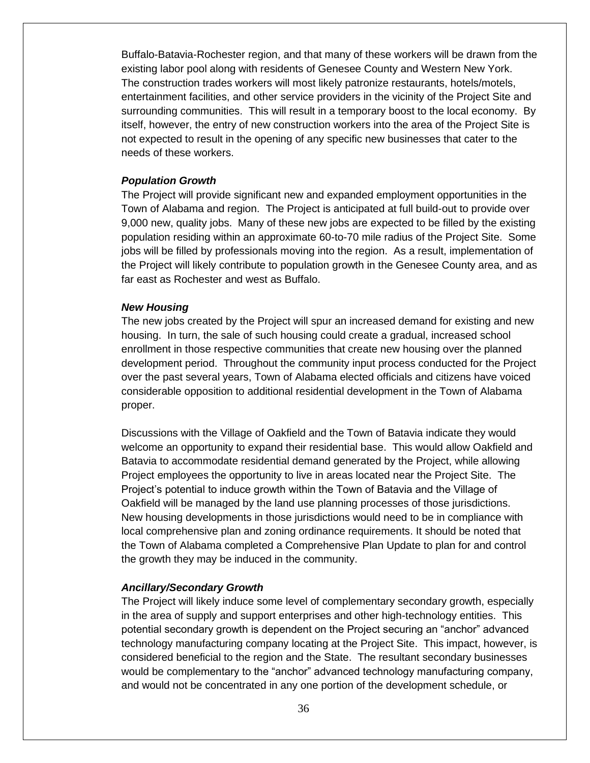Buffalo-Batavia-Rochester region, and that many of these workers will be drawn from the existing labor pool along with residents of Genesee County and Western New York. The construction trades workers will most likely patronize restaurants, hotels/motels, entertainment facilities, and other service providers in the vicinity of the Project Site and surrounding communities. This will result in a temporary boost to the local economy. By itself, however, the entry of new construction workers into the area of the Project Site is not expected to result in the opening of any specific new businesses that cater to the needs of these workers.

#### *Population Growth*

The Project will provide significant new and expanded employment opportunities in the Town of Alabama and region. The Project is anticipated at full build-out to provide over 9,000 new, quality jobs. Many of these new jobs are expected to be filled by the existing population residing within an approximate 60-to-70 mile radius of the Project Site. Some jobs will be filled by professionals moving into the region. As a result, implementation of the Project will likely contribute to population growth in the Genesee County area, and as far east as Rochester and west as Buffalo.

#### *New Housing*

The new jobs created by the Project will spur an increased demand for existing and new housing. In turn, the sale of such housing could create a gradual, increased school enrollment in those respective communities that create new housing over the planned development period. Throughout the community input process conducted for the Project over the past several years, Town of Alabama elected officials and citizens have voiced considerable opposition to additional residential development in the Town of Alabama proper.

Discussions with the Village of Oakfield and the Town of Batavia indicate they would welcome an opportunity to expand their residential base. This would allow Oakfield and Batavia to accommodate residential demand generated by the Project, while allowing Project employees the opportunity to live in areas located near the Project Site. The Project's potential to induce growth within the Town of Batavia and the Village of Oakfield will be managed by the land use planning processes of those jurisdictions. New housing developments in those jurisdictions would need to be in compliance with local comprehensive plan and zoning ordinance requirements. It should be noted that the Town of Alabama completed a Comprehensive Plan Update to plan for and control the growth they may be induced in the community.

#### *Ancillary/Secondary Growth*

The Project will likely induce some level of complementary secondary growth, especially in the area of supply and support enterprises and other high-technology entities. This potential secondary growth is dependent on the Project securing an "anchor" advanced technology manufacturing company locating at the Project Site. This impact, however, is considered beneficial to the region and the State. The resultant secondary businesses would be complementary to the "anchor" advanced technology manufacturing company, and would not be concentrated in any one portion of the development schedule, or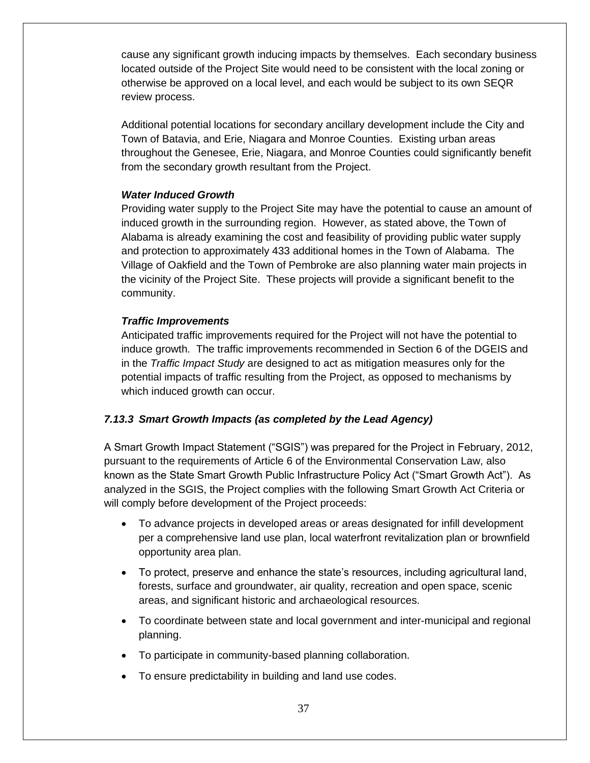cause any significant growth inducing impacts by themselves. Each secondary business located outside of the Project Site would need to be consistent with the local zoning or otherwise be approved on a local level, and each would be subject to its own SEQR review process.

Additional potential locations for secondary ancillary development include the City and Town of Batavia, and Erie, Niagara and Monroe Counties. Existing urban areas throughout the Genesee, Erie, Niagara, and Monroe Counties could significantly benefit from the secondary growth resultant from the Project.

#### *Water Induced Growth*

Providing water supply to the Project Site may have the potential to cause an amount of induced growth in the surrounding region. However, as stated above, the Town of Alabama is already examining the cost and feasibility of providing public water supply and protection to approximately 433 additional homes in the Town of Alabama. The Village of Oakfield and the Town of Pembroke are also planning water main projects in the vicinity of the Project Site. These projects will provide a significant benefit to the community.

#### *Traffic Improvements*

Anticipated traffic improvements required for the Project will not have the potential to induce growth. The traffic improvements recommended in Section 6 of the DGEIS and in the *Traffic Impact Study* are designed to act as mitigation measures only for the potential impacts of traffic resulting from the Project, as opposed to mechanisms by which induced growth can occur.

#### *7.13.3 Smart Growth Impacts (as completed by the Lead Agency)*

A Smart Growth Impact Statement ("SGIS") was prepared for the Project in February, 2012, pursuant to the requirements of Article 6 of the Environmental Conservation Law, also known as the State Smart Growth Public Infrastructure Policy Act ("Smart Growth Act"). As analyzed in the SGIS, the Project complies with the following Smart Growth Act Criteria or will comply before development of the Project proceeds:

- To advance projects in developed areas or areas designated for infill development per a comprehensive land use plan, local waterfront revitalization plan or brownfield opportunity area plan.
- To protect, preserve and enhance the state's resources, including agricultural land, forests, surface and groundwater, air quality, recreation and open space, scenic areas, and significant historic and archaeological resources.
- To coordinate between state and local government and inter-municipal and regional planning.
- To participate in community-based planning collaboration.
- To ensure predictability in building and land use codes.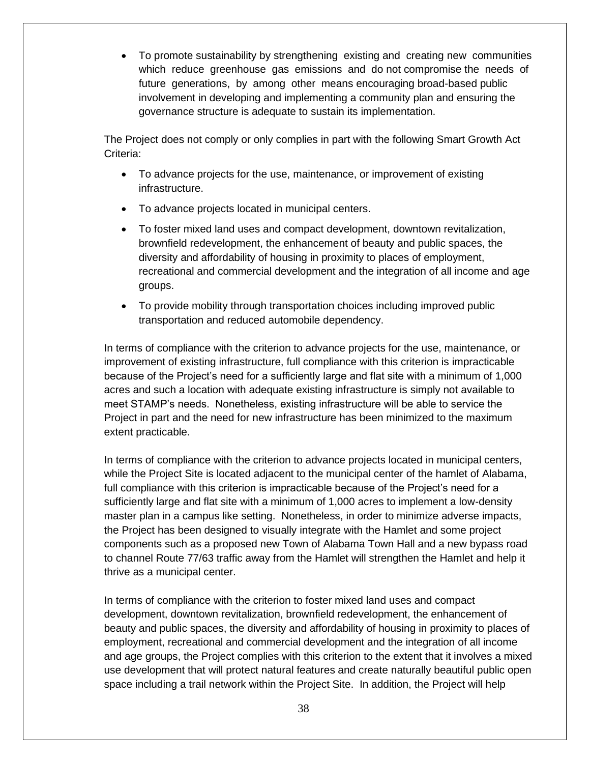• To promote sustainability by strengthening existing and creating new communities which reduce greenhouse gas emissions and do not compromise the needs of future generations, by among other means encouraging broad-based public involvement in developing and implementing a community plan and ensuring the governance structure is adequate to sustain its implementation.

The Project does not comply or only complies in part with the following Smart Growth Act Criteria:

- To advance projects for the use, maintenance, or improvement of existing infrastructure.
- To advance projects located in municipal centers.
- To foster mixed land uses and compact development, downtown revitalization, brownfield redevelopment, the enhancement of beauty and public spaces, the diversity and affordability of housing in proximity to places of employment, recreational and commercial development and the integration of all income and age groups.
- To provide mobility through transportation choices including improved public transportation and reduced automobile dependency.

In terms of compliance with the criterion to advance projects for the use, maintenance, or improvement of existing infrastructure, full compliance with this criterion is impracticable because of the Project's need for a sufficiently large and flat site with a minimum of 1,000 acres and such a location with adequate existing infrastructure is simply not available to meet STAMP's needs. Nonetheless, existing infrastructure will be able to service the Project in part and the need for new infrastructure has been minimized to the maximum extent practicable.

In terms of compliance with the criterion to advance projects located in municipal centers, while the Project Site is located adjacent to the municipal center of the hamlet of Alabama, full compliance with this criterion is impracticable because of the Project's need for a sufficiently large and flat site with a minimum of 1,000 acres to implement a low-density master plan in a campus like setting. Nonetheless, in order to minimize adverse impacts, the Project has been designed to visually integrate with the Hamlet and some project components such as a proposed new Town of Alabama Town Hall and a new bypass road to channel Route 77/63 traffic away from the Hamlet will strengthen the Hamlet and help it thrive as a municipal center.

In terms of compliance with the criterion to foster mixed land uses and compact development, downtown revitalization, brownfield redevelopment, the enhancement of beauty and public spaces, the diversity and affordability of housing in proximity to places of employment, recreational and commercial development and the integration of all income and age groups, the Project complies with this criterion to the extent that it involves a mixed use development that will protect natural features and create naturally beautiful public open space including a trail network within the Project Site. In addition, the Project will help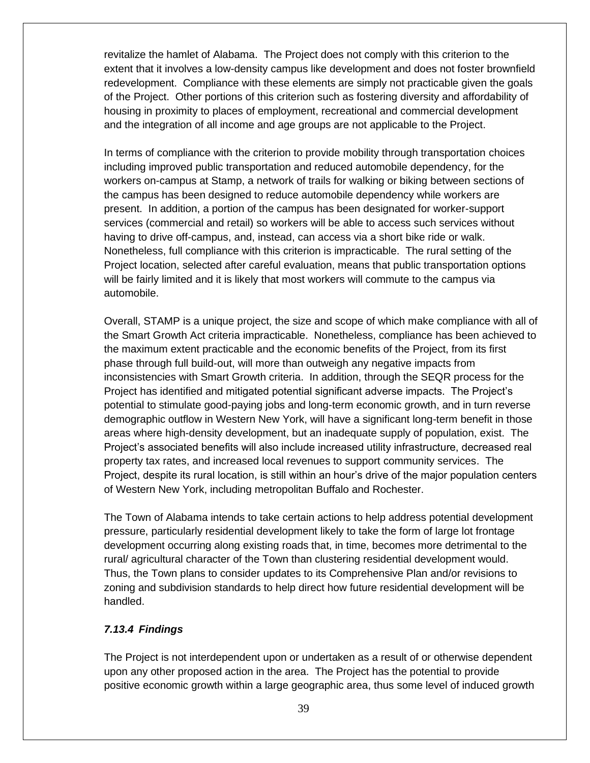revitalize the hamlet of Alabama. The Project does not comply with this criterion to the extent that it involves a low-density campus like development and does not foster brownfield redevelopment. Compliance with these elements are simply not practicable given the goals of the Project. Other portions of this criterion such as fostering diversity and affordability of housing in proximity to places of employment, recreational and commercial development and the integration of all income and age groups are not applicable to the Project.

In terms of compliance with the criterion to provide mobility through transportation choices including improved public transportation and reduced automobile dependency, for the workers on-campus at Stamp, a network of trails for walking or biking between sections of the campus has been designed to reduce automobile dependency while workers are present. In addition, a portion of the campus has been designated for worker-support services (commercial and retail) so workers will be able to access such services without having to drive off-campus, and, instead, can access via a short bike ride or walk. Nonetheless, full compliance with this criterion is impracticable. The rural setting of the Project location, selected after careful evaluation, means that public transportation options will be fairly limited and it is likely that most workers will commute to the campus via automobile.

Overall, STAMP is a unique project, the size and scope of which make compliance with all of the Smart Growth Act criteria impracticable. Nonetheless, compliance has been achieved to the maximum extent practicable and the economic benefits of the Project, from its first phase through full build-out, will more than outweigh any negative impacts from inconsistencies with Smart Growth criteria. In addition, through the SEQR process for the Project has identified and mitigated potential significant adverse impacts. The Project's potential to stimulate good-paying jobs and long-term economic growth, and in turn reverse demographic outflow in Western New York, will have a significant long-term benefit in those areas where high-density development, but an inadequate supply of population, exist. The Project's associated benefits will also include increased utility infrastructure, decreased real property tax rates, and increased local revenues to support community services. The Project, despite its rural location, is still within an hour's drive of the major population centers of Western New York, including metropolitan Buffalo and Rochester.

The Town of Alabama intends to take certain actions to help address potential development pressure, particularly residential development likely to take the form of large lot frontage development occurring along existing roads that, in time, becomes more detrimental to the rural/ agricultural character of the Town than clustering residential development would. Thus, the Town plans to consider updates to its Comprehensive Plan and/or revisions to zoning and subdivision standards to help direct how future residential development will be handled.

#### *7.13.4 Findings*

The Project is not interdependent upon or undertaken as a result of or otherwise dependent upon any other proposed action in the area. The Project has the potential to provide positive economic growth within a large geographic area, thus some level of induced growth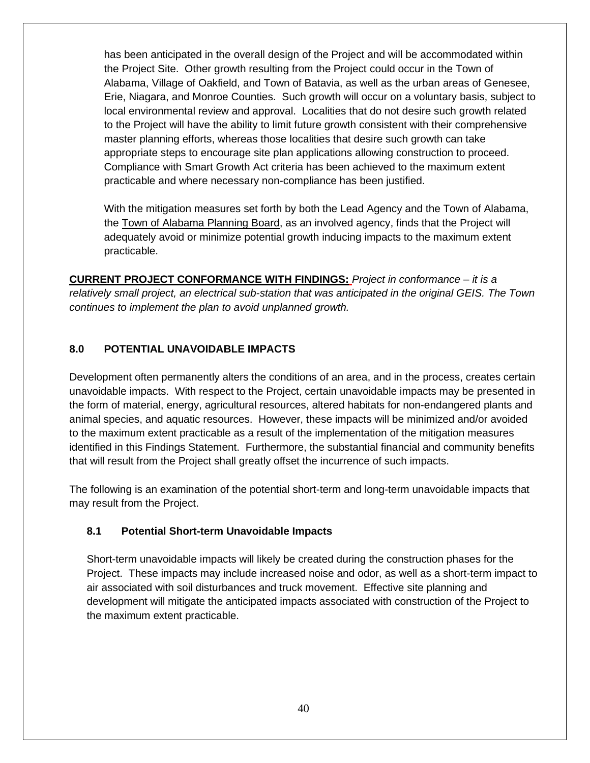has been anticipated in the overall design of the Project and will be accommodated within the Project Site. Other growth resulting from the Project could occur in the Town of Alabama, Village of Oakfield, and Town of Batavia, as well as the urban areas of Genesee, Erie, Niagara, and Monroe Counties. Such growth will occur on a voluntary basis, subject to local environmental review and approval. Localities that do not desire such growth related to the Project will have the ability to limit future growth consistent with their comprehensive master planning efforts, whereas those localities that desire such growth can take appropriate steps to encourage site plan applications allowing construction to proceed. Compliance with Smart Growth Act criteria has been achieved to the maximum extent practicable and where necessary non-compliance has been justified.

With the mitigation measures set forth by both the Lead Agency and the Town of Alabama, the Town of Alabama Planning Board, as an involved agency, finds that the Project will adequately avoid or minimize potential growth inducing impacts to the maximum extent practicable.

**CURRENT PROJECT CONFORMANCE WITH FINDINGS:** *Project in conformance – it is a relatively small project, an electrical sub-station that was anticipated in the original GEIS. The Town continues to implement the plan to avoid unplanned growth.*

# **8.0 POTENTIAL UNAVOIDABLE IMPACTS**

Development often permanently alters the conditions of an area, and in the process, creates certain unavoidable impacts. With respect to the Project, certain unavoidable impacts may be presented in the form of material, energy, agricultural resources, altered habitats for non-endangered plants and animal species, and aquatic resources. However, these impacts will be minimized and/or avoided to the maximum extent practicable as a result of the implementation of the mitigation measures identified in this Findings Statement. Furthermore, the substantial financial and community benefits that will result from the Project shall greatly offset the incurrence of such impacts.

The following is an examination of the potential short-term and long-term unavoidable impacts that may result from the Project.

#### **8.1 Potential Short-term Unavoidable Impacts**

Short-term unavoidable impacts will likely be created during the construction phases for the Project. These impacts may include increased noise and odor, as well as a short-term impact to air associated with soil disturbances and truck movement. Effective site planning and development will mitigate the anticipated impacts associated with construction of the Project to the maximum extent practicable.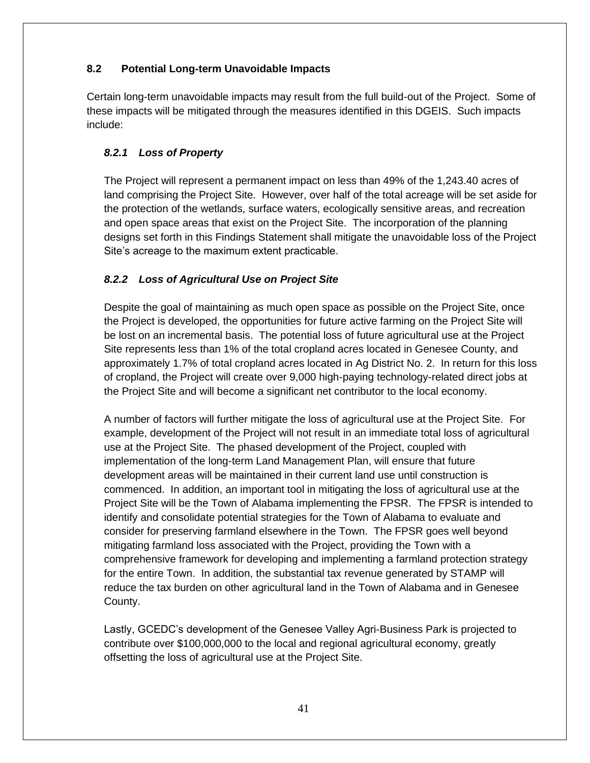# **8.2 Potential Long-term Unavoidable Impacts**

Certain long-term unavoidable impacts may result from the full build-out of the Project. Some of these impacts will be mitigated through the measures identified in this DGEIS. Such impacts include:

# *8.2.1 Loss of Property*

The Project will represent a permanent impact on less than 49% of the 1,243.40 acres of land comprising the Project Site. However, over half of the total acreage will be set aside for the protection of the wetlands, surface waters, ecologically sensitive areas, and recreation and open space areas that exist on the Project Site. The incorporation of the planning designs set forth in this Findings Statement shall mitigate the unavoidable loss of the Project Site's acreage to the maximum extent practicable.

# *8.2.2 Loss of Agricultural Use on Project Site*

Despite the goal of maintaining as much open space as possible on the Project Site, once the Project is developed, the opportunities for future active farming on the Project Site will be lost on an incremental basis. The potential loss of future agricultural use at the Project Site represents less than 1% of the total cropland acres located in Genesee County, and approximately 1.7% of total cropland acres located in Ag District No. 2. In return for this loss of cropland, the Project will create over 9,000 high-paying technology-related direct jobs at the Project Site and will become a significant net contributor to the local economy.

A number of factors will further mitigate the loss of agricultural use at the Project Site. For example, development of the Project will not result in an immediate total loss of agricultural use at the Project Site. The phased development of the Project, coupled with implementation of the long-term Land Management Plan, will ensure that future development areas will be maintained in their current land use until construction is commenced. In addition, an important tool in mitigating the loss of agricultural use at the Project Site will be the Town of Alabama implementing the FPSR. The FPSR is intended to identify and consolidate potential strategies for the Town of Alabama to evaluate and consider for preserving farmland elsewhere in the Town. The FPSR goes well beyond mitigating farmland loss associated with the Project, providing the Town with a comprehensive framework for developing and implementing a farmland protection strategy for the entire Town. In addition, the substantial tax revenue generated by STAMP will reduce the tax burden on other agricultural land in the Town of Alabama and in Genesee County.

Lastly, GCEDC's development of the Genesee Valley Agri-Business Park is projected to contribute over \$100,000,000 to the local and regional agricultural economy, greatly offsetting the loss of agricultural use at the Project Site.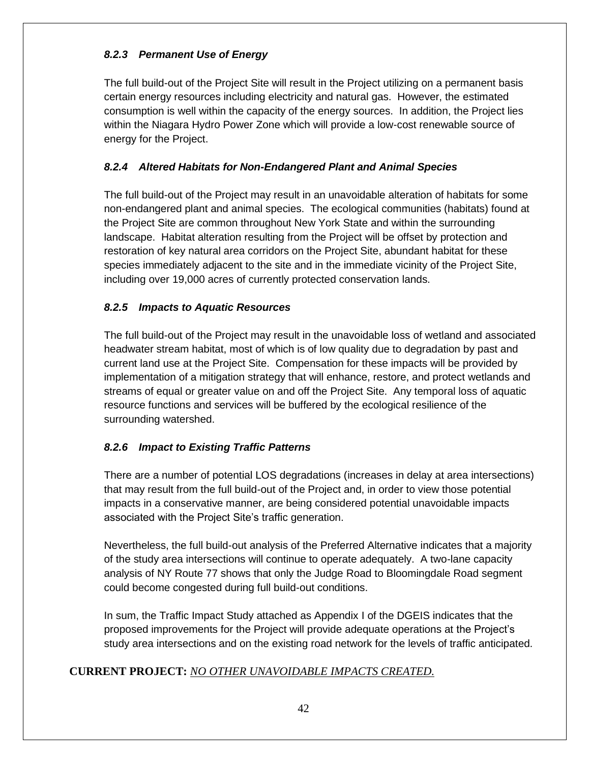# *8.2.3 Permanent Use of Energy*

The full build-out of the Project Site will result in the Project utilizing on a permanent basis certain energy resources including electricity and natural gas. However, the estimated consumption is well within the capacity of the energy sources. In addition, the Project lies within the Niagara Hydro Power Zone which will provide a low-cost renewable source of energy for the Project.

# *8.2.4 Altered Habitats for Non-Endangered Plant and Animal Species*

The full build-out of the Project may result in an unavoidable alteration of habitats for some non-endangered plant and animal species. The ecological communities (habitats) found at the Project Site are common throughout New York State and within the surrounding landscape. Habitat alteration resulting from the Project will be offset by protection and restoration of key natural area corridors on the Project Site, abundant habitat for these species immediately adjacent to the site and in the immediate vicinity of the Project Site, including over 19,000 acres of currently protected conservation lands.

# *8.2.5 Impacts to Aquatic Resources*

The full build-out of the Project may result in the unavoidable loss of wetland and associated headwater stream habitat, most of which is of low quality due to degradation by past and current land use at the Project Site. Compensation for these impacts will be provided by implementation of a mitigation strategy that will enhance, restore, and protect wetlands and streams of equal or greater value on and off the Project Site. Any temporal loss of aquatic resource functions and services will be buffered by the ecological resilience of the surrounding watershed.

# *8.2.6 Impact to Existing Traffic Patterns*

There are a number of potential LOS degradations (increases in delay at area intersections) that may result from the full build-out of the Project and, in order to view those potential impacts in a conservative manner, are being considered potential unavoidable impacts associated with the Project Site's traffic generation.

Nevertheless, the full build-out analysis of the Preferred Alternative indicates that a majority of the study area intersections will continue to operate adequately. A two-lane capacity analysis of NY Route 77 shows that only the Judge Road to Bloomingdale Road segment could become congested during full build-out conditions.

In sum, the Traffic Impact Study attached as Appendix I of the DGEIS indicates that the proposed improvements for the Project will provide adequate operations at the Project's study area intersections and on the existing road network for the levels of traffic anticipated.

# **CURRENT PROJECT:** *NO OTHER UNAVOIDABLE IMPACTS CREATED.*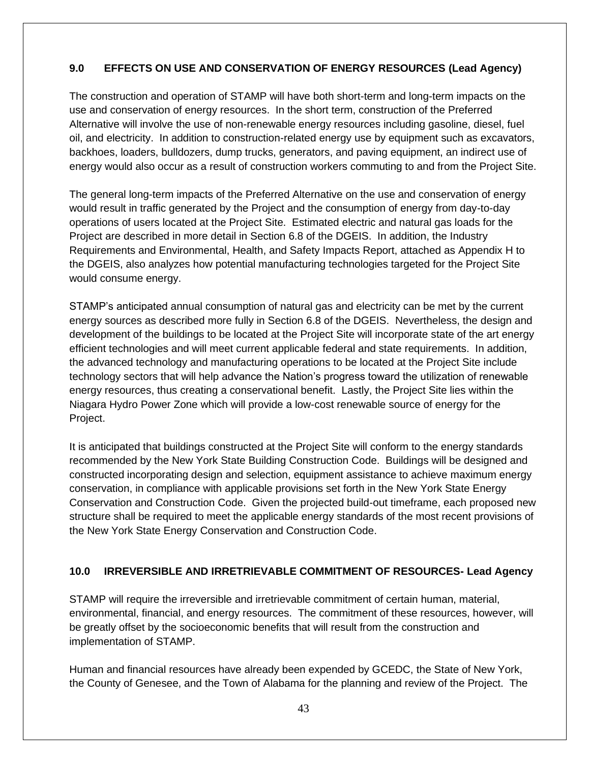# **9.0 EFFECTS ON USE AND CONSERVATION OF ENERGY RESOURCES (Lead Agency)**

The construction and operation of STAMP will have both short-term and long-term impacts on the use and conservation of energy resources. In the short term, construction of the Preferred Alternative will involve the use of non-renewable energy resources including gasoline, diesel, fuel oil, and electricity. In addition to construction-related energy use by equipment such as excavators, backhoes, loaders, bulldozers, dump trucks, generators, and paving equipment, an indirect use of energy would also occur as a result of construction workers commuting to and from the Project Site.

The general long-term impacts of the Preferred Alternative on the use and conservation of energy would result in traffic generated by the Project and the consumption of energy from day-to-day operations of users located at the Project Site. Estimated electric and natural gas loads for the Project are described in more detail in Section 6.8 of the DGEIS. In addition, the Industry Requirements and Environmental, Health, and Safety Impacts Report, attached as Appendix H to the DGEIS, also analyzes how potential manufacturing technologies targeted for the Project Site would consume energy.

STAMP's anticipated annual consumption of natural gas and electricity can be met by the current energy sources as described more fully in Section 6.8 of the DGEIS. Nevertheless, the design and development of the buildings to be located at the Project Site will incorporate state of the art energy efficient technologies and will meet current applicable federal and state requirements. In addition, the advanced technology and manufacturing operations to be located at the Project Site include technology sectors that will help advance the Nation's progress toward the utilization of renewable energy resources, thus creating a conservational benefit. Lastly, the Project Site lies within the Niagara Hydro Power Zone which will provide a low-cost renewable source of energy for the Project.

It is anticipated that buildings constructed at the Project Site will conform to the energy standards recommended by the New York State Building Construction Code. Buildings will be designed and constructed incorporating design and selection, equipment assistance to achieve maximum energy conservation, in compliance with applicable provisions set forth in the New York State Energy Conservation and Construction Code. Given the projected build-out timeframe, each proposed new structure shall be required to meet the applicable energy standards of the most recent provisions of the New York State Energy Conservation and Construction Code.

# **10.0 IRREVERSIBLE AND IRRETRIEVABLE COMMITMENT OF RESOURCES- Lead Agency**

STAMP will require the irreversible and irretrievable commitment of certain human, material, environmental, financial, and energy resources. The commitment of these resources, however, will be greatly offset by the socioeconomic benefits that will result from the construction and implementation of STAMP.

Human and financial resources have already been expended by GCEDC, the State of New York, the County of Genesee, and the Town of Alabama for the planning and review of the Project. The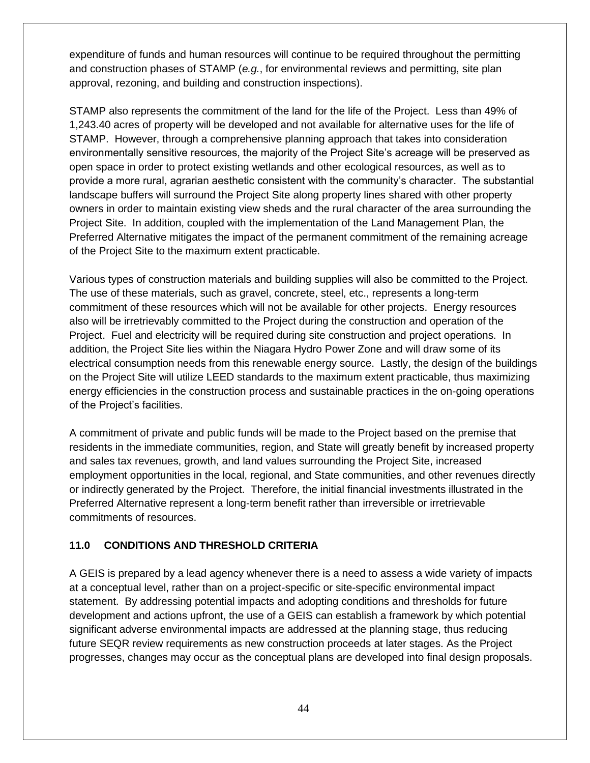expenditure of funds and human resources will continue to be required throughout the permitting and construction phases of STAMP (*e.g.*, for environmental reviews and permitting, site plan approval, rezoning, and building and construction inspections).

STAMP also represents the commitment of the land for the life of the Project. Less than 49% of 1,243.40 acres of property will be developed and not available for alternative uses for the life of STAMP. However, through a comprehensive planning approach that takes into consideration environmentally sensitive resources, the majority of the Project Site's acreage will be preserved as open space in order to protect existing wetlands and other ecological resources, as well as to provide a more rural, agrarian aesthetic consistent with the community's character. The substantial landscape buffers will surround the Project Site along property lines shared with other property owners in order to maintain existing view sheds and the rural character of the area surrounding the Project Site. In addition, coupled with the implementation of the Land Management Plan, the Preferred Alternative mitigates the impact of the permanent commitment of the remaining acreage of the Project Site to the maximum extent practicable.

Various types of construction materials and building supplies will also be committed to the Project. The use of these materials, such as gravel, concrete, steel, etc., represents a long-term commitment of these resources which will not be available for other projects. Energy resources also will be irretrievably committed to the Project during the construction and operation of the Project. Fuel and electricity will be required during site construction and project operations. In addition, the Project Site lies within the Niagara Hydro Power Zone and will draw some of its electrical consumption needs from this renewable energy source. Lastly, the design of the buildings on the Project Site will utilize LEED standards to the maximum extent practicable, thus maximizing energy efficiencies in the construction process and sustainable practices in the on-going operations of the Project's facilities.

A commitment of private and public funds will be made to the Project based on the premise that residents in the immediate communities, region, and State will greatly benefit by increased property and sales tax revenues, growth, and land values surrounding the Project Site, increased employment opportunities in the local, regional, and State communities, and other revenues directly or indirectly generated by the Project. Therefore, the initial financial investments illustrated in the Preferred Alternative represent a long-term benefit rather than irreversible or irretrievable commitments of resources.

# **11.0 CONDITIONS AND THRESHOLD CRITERIA**

A GEIS is prepared by a lead agency whenever there is a need to assess a wide variety of impacts at a conceptual level, rather than on a project-specific or site-specific environmental impact statement. By addressing potential impacts and adopting conditions and thresholds for future development and actions upfront, the use of a GEIS can establish a framework by which potential significant adverse environmental impacts are addressed at the planning stage, thus reducing future SEQR review requirements as new construction proceeds at later stages. As the Project progresses, changes may occur as the conceptual plans are developed into final design proposals.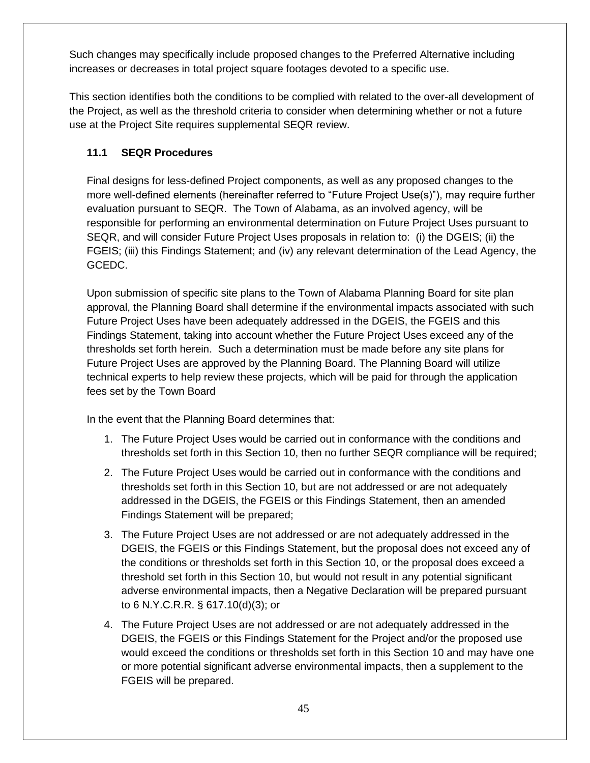Such changes may specifically include proposed changes to the Preferred Alternative including increases or decreases in total project square footages devoted to a specific use.

This section identifies both the conditions to be complied with related to the over-all development of the Project, as well as the threshold criteria to consider when determining whether or not a future use at the Project Site requires supplemental SEQR review.

# **11.1 SEQR Procedures**

Final designs for less-defined Project components, as well as any proposed changes to the more well-defined elements (hereinafter referred to "Future Project Use(s)"), may require further evaluation pursuant to SEQR. The Town of Alabama, as an involved agency, will be responsible for performing an environmental determination on Future Project Uses pursuant to SEQR, and will consider Future Project Uses proposals in relation to: (i) the DGEIS; (ii) the FGEIS; (iii) this Findings Statement; and (iv) any relevant determination of the Lead Agency, the GCEDC.

Upon submission of specific site plans to the Town of Alabama Planning Board for site plan approval, the Planning Board shall determine if the environmental impacts associated with such Future Project Uses have been adequately addressed in the DGEIS, the FGEIS and this Findings Statement, taking into account whether the Future Project Uses exceed any of the thresholds set forth herein. Such a determination must be made before any site plans for Future Project Uses are approved by the Planning Board. The Planning Board will utilize technical experts to help review these projects, which will be paid for through the application fees set by the Town Board

In the event that the Planning Board determines that:

- 1. The Future Project Uses would be carried out in conformance with the conditions and thresholds set forth in this Section 10, then no further SEQR compliance will be required;
- 2. The Future Project Uses would be carried out in conformance with the conditions and thresholds set forth in this Section 10, but are not addressed or are not adequately addressed in the DGEIS, the FGEIS or this Findings Statement, then an amended Findings Statement will be prepared;
- 3. The Future Project Uses are not addressed or are not adequately addressed in the DGEIS, the FGEIS or this Findings Statement, but the proposal does not exceed any of the conditions or thresholds set forth in this Section 10, or the proposal does exceed a threshold set forth in this Section 10, but would not result in any potential significant adverse environmental impacts, then a Negative Declaration will be prepared pursuant to 6 N.Y.C.R.R. § 617.10(d)(3); or
- 4. The Future Project Uses are not addressed or are not adequately addressed in the DGEIS, the FGEIS or this Findings Statement for the Project and/or the proposed use would exceed the conditions or thresholds set forth in this Section 10 and may have one or more potential significant adverse environmental impacts, then a supplement to the FGEIS will be prepared.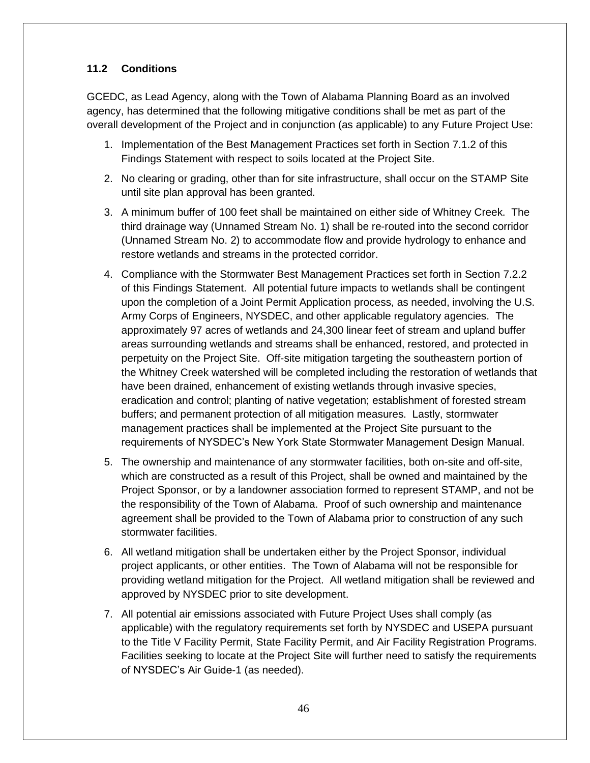# **11.2 Conditions**

GCEDC, as Lead Agency, along with the Town of Alabama Planning Board as an involved agency, has determined that the following mitigative conditions shall be met as part of the overall development of the Project and in conjunction (as applicable) to any Future Project Use:

- 1. Implementation of the Best Management Practices set forth in Section 7.1.2 of this Findings Statement with respect to soils located at the Project Site.
- 2. No clearing or grading, other than for site infrastructure, shall occur on the STAMP Site until site plan approval has been granted.
- 3. A minimum buffer of 100 feet shall be maintained on either side of Whitney Creek. The third drainage way (Unnamed Stream No. 1) shall be re-routed into the second corridor (Unnamed Stream No. 2) to accommodate flow and provide hydrology to enhance and restore wetlands and streams in the protected corridor.
- 4. Compliance with the Stormwater Best Management Practices set forth in Section 7.2.2 of this Findings Statement. All potential future impacts to wetlands shall be contingent upon the completion of a Joint Permit Application process, as needed, involving the U.S. Army Corps of Engineers, NYSDEC, and other applicable regulatory agencies. The approximately 97 acres of wetlands and 24,300 linear feet of stream and upland buffer areas surrounding wetlands and streams shall be enhanced, restored, and protected in perpetuity on the Project Site. Off-site mitigation targeting the southeastern portion of the Whitney Creek watershed will be completed including the restoration of wetlands that have been drained, enhancement of existing wetlands through invasive species, eradication and control; planting of native vegetation; establishment of forested stream buffers; and permanent protection of all mitigation measures. Lastly, stormwater management practices shall be implemented at the Project Site pursuant to the requirements of NYSDEC's New York State Stormwater Management Design Manual.
- 5. The ownership and maintenance of any stormwater facilities, both on-site and off-site, which are constructed as a result of this Project, shall be owned and maintained by the Project Sponsor, or by a landowner association formed to represent STAMP, and not be the responsibility of the Town of Alabama. Proof of such ownership and maintenance agreement shall be provided to the Town of Alabama prior to construction of any such stormwater facilities.
- 6. All wetland mitigation shall be undertaken either by the Project Sponsor, individual project applicants, or other entities. The Town of Alabama will not be responsible for providing wetland mitigation for the Project. All wetland mitigation shall be reviewed and approved by NYSDEC prior to site development.
- 7. All potential air emissions associated with Future Project Uses shall comply (as applicable) with the regulatory requirements set forth by NYSDEC and USEPA pursuant to the Title V Facility Permit, State Facility Permit, and Air Facility Registration Programs. Facilities seeking to locate at the Project Site will further need to satisfy the requirements of NYSDEC's Air Guide-1 (as needed).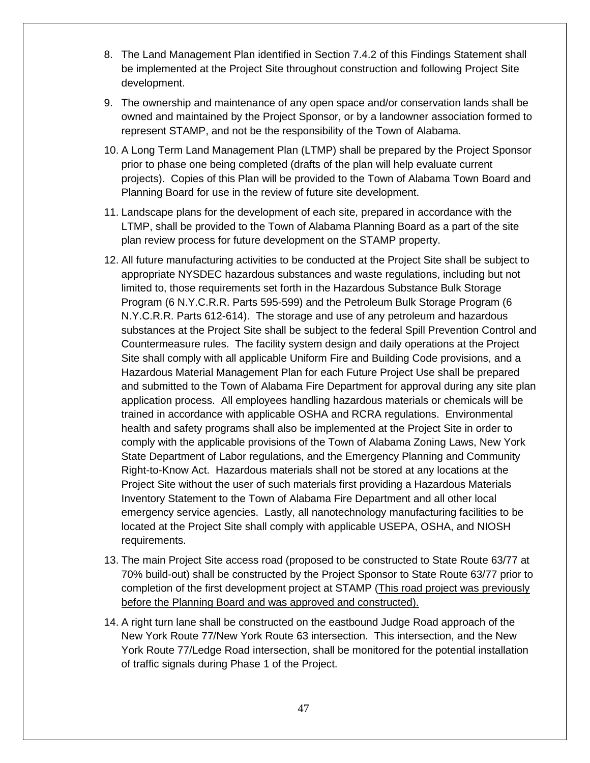- 8. The Land Management Plan identified in Section 7.4.2 of this Findings Statement shall be implemented at the Project Site throughout construction and following Project Site development.
- 9. The ownership and maintenance of any open space and/or conservation lands shall be owned and maintained by the Project Sponsor, or by a landowner association formed to represent STAMP, and not be the responsibility of the Town of Alabama.
- 10. A Long Term Land Management Plan (LTMP) shall be prepared by the Project Sponsor prior to phase one being completed (drafts of the plan will help evaluate current projects). Copies of this Plan will be provided to the Town of Alabama Town Board and Planning Board for use in the review of future site development.
- 11. Landscape plans for the development of each site, prepared in accordance with the LTMP, shall be provided to the Town of Alabama Planning Board as a part of the site plan review process for future development on the STAMP property.
- 12. All future manufacturing activities to be conducted at the Project Site shall be subject to appropriate NYSDEC hazardous substances and waste regulations, including but not limited to, those requirements set forth in the Hazardous Substance Bulk Storage Program (6 N.Y.C.R.R. Parts 595-599) and the Petroleum Bulk Storage Program (6 N.Y.C.R.R. Parts 612-614). The storage and use of any petroleum and hazardous substances at the Project Site shall be subject to the federal Spill Prevention Control and Countermeasure rules. The facility system design and daily operations at the Project Site shall comply with all applicable Uniform Fire and Building Code provisions, and a Hazardous Material Management Plan for each Future Project Use shall be prepared and submitted to the Town of Alabama Fire Department for approval during any site plan application process. All employees handling hazardous materials or chemicals will be trained in accordance with applicable OSHA and RCRA regulations. Environmental health and safety programs shall also be implemented at the Project Site in order to comply with the applicable provisions of the Town of Alabama Zoning Laws, New York State Department of Labor regulations, and the Emergency Planning and Community Right-to-Know Act. Hazardous materials shall not be stored at any locations at the Project Site without the user of such materials first providing a Hazardous Materials Inventory Statement to the Town of Alabama Fire Department and all other local emergency service agencies. Lastly, all nanotechnology manufacturing facilities to be located at the Project Site shall comply with applicable USEPA, OSHA, and NIOSH requirements.
- 13. The main Project Site access road (proposed to be constructed to State Route 63/77 at 70% build-out) shall be constructed by the Project Sponsor to State Route 63/77 prior to completion of the first development project at STAMP (This road project was previously before the Planning Board and was approved and constructed).
- 14. A right turn lane shall be constructed on the eastbound Judge Road approach of the New York Route 77/New York Route 63 intersection. This intersection, and the New York Route 77/Ledge Road intersection, shall be monitored for the potential installation of traffic signals during Phase 1 of the Project.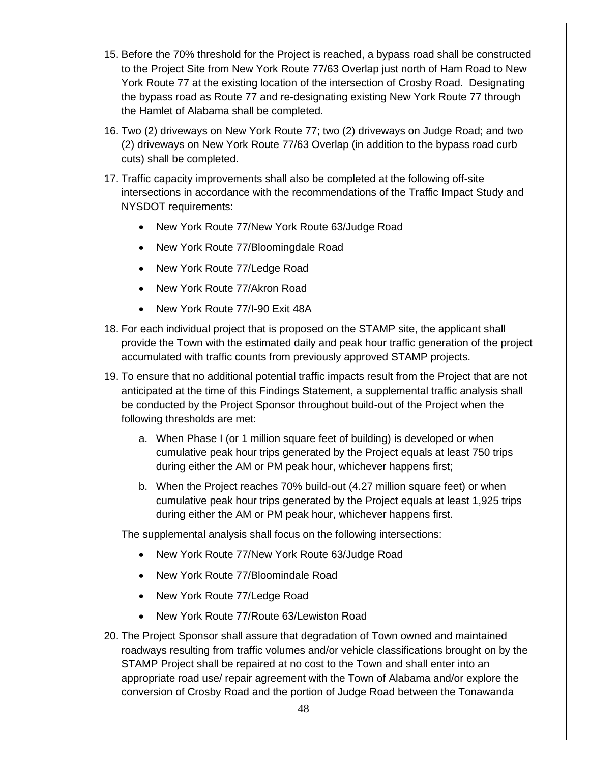- 15. Before the 70% threshold for the Project is reached, a bypass road shall be constructed to the Project Site from New York Route 77/63 Overlap just north of Ham Road to New York Route 77 at the existing location of the intersection of Crosby Road. Designating the bypass road as Route 77 and re-designating existing New York Route 77 through the Hamlet of Alabama shall be completed.
- 16. Two (2) driveways on New York Route 77; two (2) driveways on Judge Road; and two (2) driveways on New York Route 77/63 Overlap (in addition to the bypass road curb cuts) shall be completed.
- 17. Traffic capacity improvements shall also be completed at the following off-site intersections in accordance with the recommendations of the Traffic Impact Study and NYSDOT requirements:
	- New York Route 77/New York Route 63/Judge Road
	- New York Route 77/Bloomingdale Road
	- New York Route 77/Ledge Road
	- New York Route 77/Akron Road
	- New York Route 77/I-90 Exit 48A
- 18. For each individual project that is proposed on the STAMP site, the applicant shall provide the Town with the estimated daily and peak hour traffic generation of the project accumulated with traffic counts from previously approved STAMP projects.
- 19. To ensure that no additional potential traffic impacts result from the Project that are not anticipated at the time of this Findings Statement, a supplemental traffic analysis shall be conducted by the Project Sponsor throughout build-out of the Project when the following thresholds are met:
	- a. When Phase I (or 1 million square feet of building) is developed or when cumulative peak hour trips generated by the Project equals at least 750 trips during either the AM or PM peak hour, whichever happens first;
	- b. When the Project reaches 70% build-out (4.27 million square feet) or when cumulative peak hour trips generated by the Project equals at least 1,925 trips during either the AM or PM peak hour, whichever happens first.

The supplemental analysis shall focus on the following intersections:

- New York Route 77/New York Route 63/Judge Road
- New York Route 77/Bloomindale Road
- New York Route 77/Ledge Road
- New York Route 77/Route 63/Lewiston Road
- 20. The Project Sponsor shall assure that degradation of Town owned and maintained roadways resulting from traffic volumes and/or vehicle classifications brought on by the STAMP Project shall be repaired at no cost to the Town and shall enter into an appropriate road use/ repair agreement with the Town of Alabama and/or explore the conversion of Crosby Road and the portion of Judge Road between the Tonawanda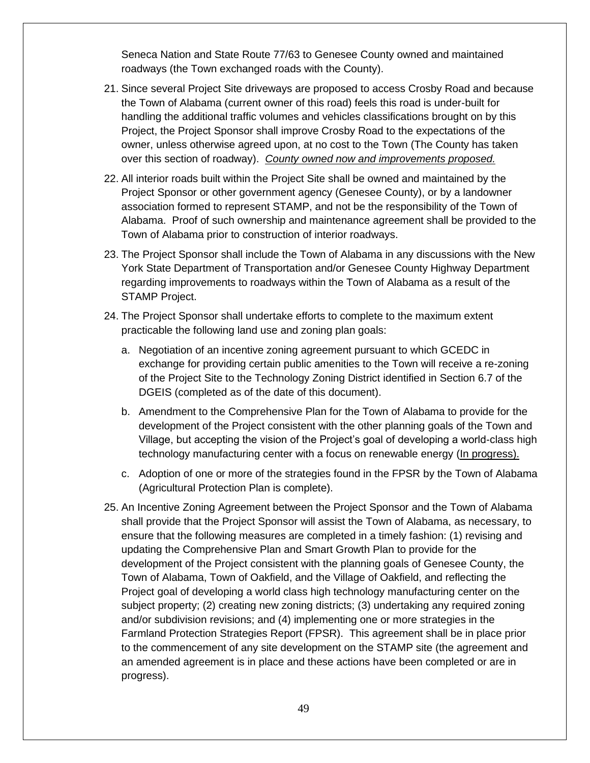Seneca Nation and State Route 77/63 to Genesee County owned and maintained roadways (the Town exchanged roads with the County).

- 21. Since several Project Site driveways are proposed to access Crosby Road and because the Town of Alabama (current owner of this road) feels this road is under-built for handling the additional traffic volumes and vehicles classifications brought on by this Project, the Project Sponsor shall improve Crosby Road to the expectations of the owner, unless otherwise agreed upon, at no cost to the Town (The County has taken over this section of roadway). *County owned now and improvements proposed.*
- 22. All interior roads built within the Project Site shall be owned and maintained by the Project Sponsor or other government agency (Genesee County), or by a landowner association formed to represent STAMP, and not be the responsibility of the Town of Alabama. Proof of such ownership and maintenance agreement shall be provided to the Town of Alabama prior to construction of interior roadways.
- 23. The Project Sponsor shall include the Town of Alabama in any discussions with the New York State Department of Transportation and/or Genesee County Highway Department regarding improvements to roadways within the Town of Alabama as a result of the STAMP Project.
- 24. The Project Sponsor shall undertake efforts to complete to the maximum extent practicable the following land use and zoning plan goals:
	- a. Negotiation of an incentive zoning agreement pursuant to which GCEDC in exchange for providing certain public amenities to the Town will receive a re-zoning of the Project Site to the Technology Zoning District identified in Section 6.7 of the DGEIS (completed as of the date of this document).
	- b. Amendment to the Comprehensive Plan for the Town of Alabama to provide for the development of the Project consistent with the other planning goals of the Town and Village, but accepting the vision of the Project's goal of developing a world-class high technology manufacturing center with a focus on renewable energy (In progress).
	- c. Adoption of one or more of the strategies found in the FPSR by the Town of Alabama (Agricultural Protection Plan is complete).
- 25. An Incentive Zoning Agreement between the Project Sponsor and the Town of Alabama shall provide that the Project Sponsor will assist the Town of Alabama, as necessary, to ensure that the following measures are completed in a timely fashion: (1) revising and updating the Comprehensive Plan and Smart Growth Plan to provide for the development of the Project consistent with the planning goals of Genesee County, the Town of Alabama, Town of Oakfield, and the Village of Oakfield, and reflecting the Project goal of developing a world class high technology manufacturing center on the subject property; (2) creating new zoning districts; (3) undertaking any required zoning and/or subdivision revisions; and (4) implementing one or more strategies in the Farmland Protection Strategies Report (FPSR). This agreement shall be in place prior to the commencement of any site development on the STAMP site (the agreement and an amended agreement is in place and these actions have been completed or are in progress).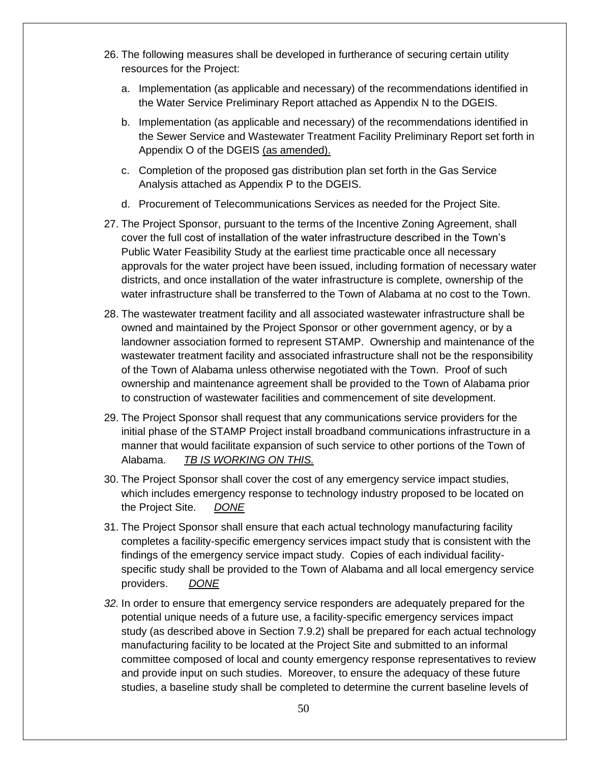- 26. The following measures shall be developed in furtherance of securing certain utility resources for the Project:
	- a. Implementation (as applicable and necessary) of the recommendations identified in the Water Service Preliminary Report attached as Appendix N to the DGEIS.
	- b. Implementation (as applicable and necessary) of the recommendations identified in the Sewer Service and Wastewater Treatment Facility Preliminary Report set forth in Appendix O of the DGEIS (as amended).
	- c. Completion of the proposed gas distribution plan set forth in the Gas Service Analysis attached as Appendix P to the DGEIS.
	- d. Procurement of Telecommunications Services as needed for the Project Site.
- 27. The Project Sponsor, pursuant to the terms of the Incentive Zoning Agreement, shall cover the full cost of installation of the water infrastructure described in the Town's Public Water Feasibility Study at the earliest time practicable once all necessary approvals for the water project have been issued, including formation of necessary water districts, and once installation of the water infrastructure is complete, ownership of the water infrastructure shall be transferred to the Town of Alabama at no cost to the Town.
- 28. The wastewater treatment facility and all associated wastewater infrastructure shall be owned and maintained by the Project Sponsor or other government agency, or by a landowner association formed to represent STAMP. Ownership and maintenance of the wastewater treatment facility and associated infrastructure shall not be the responsibility of the Town of Alabama unless otherwise negotiated with the Town. Proof of such ownership and maintenance agreement shall be provided to the Town of Alabama prior to construction of wastewater facilities and commencement of site development.
- 29. The Project Sponsor shall request that any communications service providers for the initial phase of the STAMP Project install broadband communications infrastructure in a manner that would facilitate expansion of such service to other portions of the Town of Alabama. *TB IS WORKING ON THIS.*
- 30. The Project Sponsor shall cover the cost of any emergency service impact studies, which includes emergency response to technology industry proposed to be located on the Project Site. *DONE*
- 31. The Project Sponsor shall ensure that each actual technology manufacturing facility completes a facility-specific emergency services impact study that is consistent with the findings of the emergency service impact study. Copies of each individual facilityspecific study shall be provided to the Town of Alabama and all local emergency service providers. *DONE*
- *32.* In order to ensure that emergency service responders are adequately prepared for the potential unique needs of a future use, a facility-specific emergency services impact study (as described above in Section 7.9.2) shall be prepared for each actual technology manufacturing facility to be located at the Project Site and submitted to an informal committee composed of local and county emergency response representatives to review and provide input on such studies. Moreover, to ensure the adequacy of these future studies, a baseline study shall be completed to determine the current baseline levels of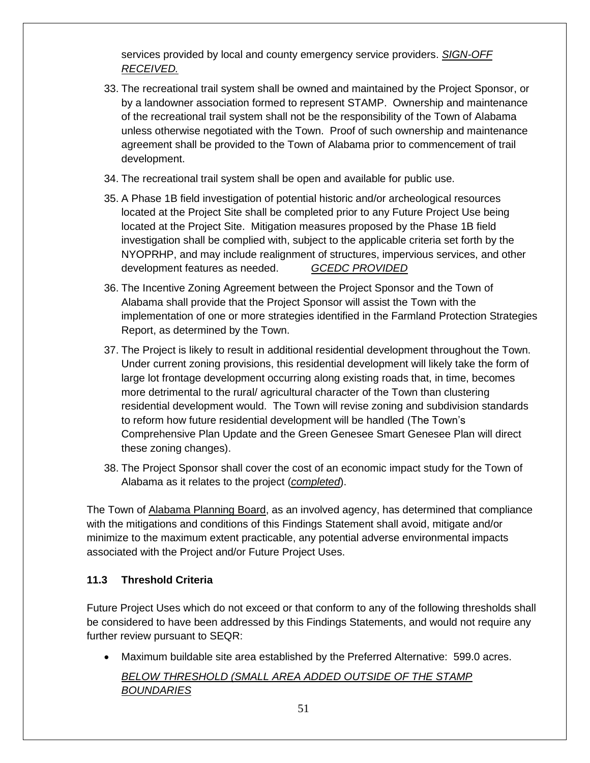services provided by local and county emergency service providers. *SIGN-OFF RECEIVED.*

- 33. The recreational trail system shall be owned and maintained by the Project Sponsor, or by a landowner association formed to represent STAMP. Ownership and maintenance of the recreational trail system shall not be the responsibility of the Town of Alabama unless otherwise negotiated with the Town. Proof of such ownership and maintenance agreement shall be provided to the Town of Alabama prior to commencement of trail development.
- 34. The recreational trail system shall be open and available for public use.
- 35. A Phase 1B field investigation of potential historic and/or archeological resources located at the Project Site shall be completed prior to any Future Project Use being located at the Project Site. Mitigation measures proposed by the Phase 1B field investigation shall be complied with, subject to the applicable criteria set forth by the NYOPRHP, and may include realignment of structures, impervious services, and other development features as needed. *GCEDC PROVIDED*
- 36. The Incentive Zoning Agreement between the Project Sponsor and the Town of Alabama shall provide that the Project Sponsor will assist the Town with the implementation of one or more strategies identified in the Farmland Protection Strategies Report, as determined by the Town.
- 37. The Project is likely to result in additional residential development throughout the Town. Under current zoning provisions, this residential development will likely take the form of large lot frontage development occurring along existing roads that, in time, becomes more detrimental to the rural/ agricultural character of the Town than clustering residential development would. The Town will revise zoning and subdivision standards to reform how future residential development will be handled (The Town's Comprehensive Plan Update and the Green Genesee Smart Genesee Plan will direct these zoning changes).
- 38. The Project Sponsor shall cover the cost of an economic impact study for the Town of Alabama as it relates to the project (*completed*).

The Town of Alabama Planning Board, as an involved agency, has determined that compliance with the mitigations and conditions of this Findings Statement shall avoid, mitigate and/or minimize to the maximum extent practicable, any potential adverse environmental impacts associated with the Project and/or Future Project Uses.

# **11.3 Threshold Criteria**

Future Project Uses which do not exceed or that conform to any of the following thresholds shall be considered to have been addressed by this Findings Statements, and would not require any further review pursuant to SEQR:

• Maximum buildable site area established by the Preferred Alternative: 599.0 acres. *BELOW THRESHOLD (SMALL AREA ADDED OUTSIDE OF THE STAMP BOUNDARIES*